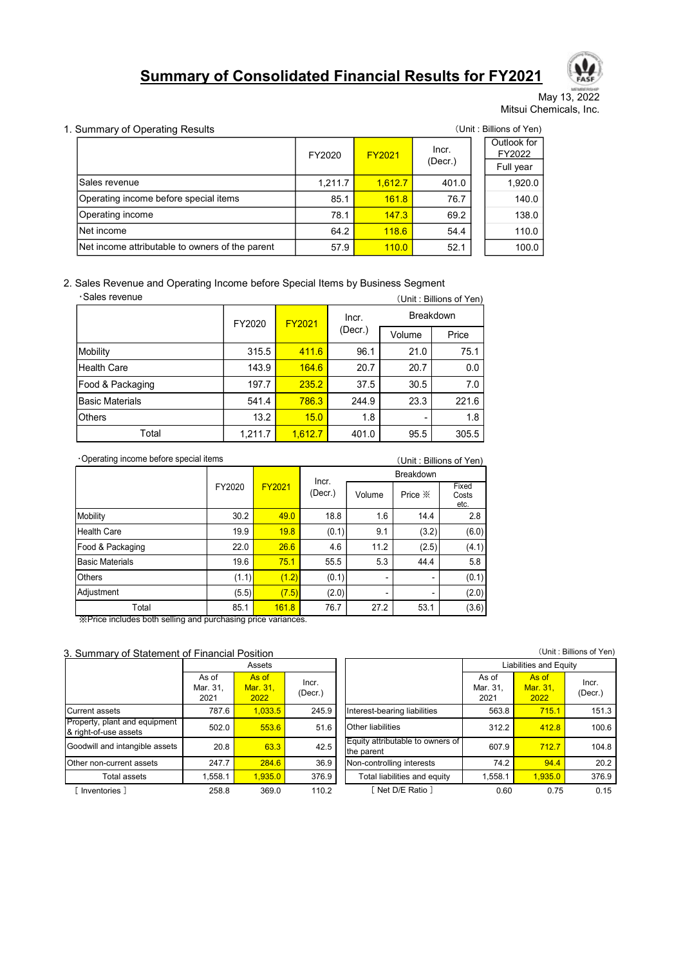# Summary of Consolidated Financial Results for FY2021



#### 1. Summary of Operating Results (Unit : Billions of Yen)

|                                                                             |                              |         |         |               |               |                                             |       |                                    | Milwell Felse<br>May 13, 2022 |
|-----------------------------------------------------------------------------|------------------------------|---------|---------|---------------|---------------|---------------------------------------------|-------|------------------------------------|-------------------------------|
|                                                                             |                              |         |         |               |               |                                             |       | Mitsui Chemicals, Inc.             |                               |
|                                                                             | Summary of Operating Results |         |         |               |               |                                             |       | (Unit: Billions of Yen)            |                               |
|                                                                             |                              |         | FY2020  |               | <b>FY2021</b> | Incr.<br>(Decr.)                            |       | Outlook for<br>FY2022<br>Full year |                               |
| Sales revenue                                                               |                              |         |         | 1,211.7       | 1,612.7       | 401.0                                       |       | 1,920.0                            |                               |
| Operating income before special items                                       |                              |         |         | 85.1          | 161.8         | 76.7                                        |       | 140.0                              |                               |
| Operating income                                                            |                              |         |         | 78.1          | 147.3         | 69.2                                        |       | 138.0                              |                               |
| Net income                                                                  |                              |         |         | 64.2          | 118.6         | 54.4                                        |       | 110.0                              |                               |
| Net income attributable to owners of the parent                             |                              |         |         | 57.9          | 110.0         | 52.1                                        |       | 100.0                              |                               |
| Sales Revenue and Operating Income before Special Items by Business Segment |                              |         |         |               |               |                                             |       |                                    |                               |
| ·Sales revenue                                                              |                              |         |         | Incr.         |               | (Unit: Billions of Yen)<br><b>Breakdown</b> |       |                                    |                               |
|                                                                             | FY2020                       |         | FY2021  | $($ Decr. $)$ | Volume        | Price                                       |       |                                    |                               |
|                                                                             |                              | 315.5   | 411.6   | 96.1          |               | 21.0                                        | 75.1  |                                    |                               |
| Mobility<br><b>Health Care</b>                                              |                              | 143.9   | 164.6   | 20.7          |               | 20.7                                        | 0.0   |                                    |                               |
| Food & Packaging                                                            |                              | 197.7   | 235.2   | 37.5          |               | 30.5                                        | 7.0   |                                    |                               |
| <b>Basic Materials</b>                                                      |                              | 541.4   | 786.3   | 244.9         |               | 23.3                                        | 221.6 |                                    |                               |
|                                                                             |                              | 13.2    | 15.0    | 1.8           |               |                                             | 1.8   |                                    |                               |
| Total                                                                       |                              | 1,211.7 | 1,612.7 | 401.0         |               | 95.5                                        | 305.5 |                                    |                               |
|                                                                             |                              |         |         |               |               |                                             |       |                                    |                               |
| Others<br>·Operating income before special items                            |                              |         | Incr.   |               |               | (Unit: Billions of Yen)<br>Breakdown        |       |                                    |                               |

|                                                                             |        |            |                  | . ,           | <u>.,</u>          |                         | .                      |        |       |
|-----------------------------------------------------------------------------|--------|------------|------------------|---------------|--------------------|-------------------------|------------------------|--------|-------|
| Operating income before special items                                       |        |            |                  | 85.1          | 161.8              |                         | 76.7                   |        | 140.0 |
| Operating income                                                            |        |            |                  | 78.1          | 147.3              |                         | 69.2                   |        | 138.0 |
| Net income                                                                  |        |            |                  | 64.2          | 118.6              |                         | 54.4                   |        | 110.0 |
| Net income attributable to owners of the parent                             |        |            |                  | 57.9          | 110.0              | 52.1                    |                        |        | 100.0 |
|                                                                             |        |            |                  |               |                    |                         |                        |        |       |
| Sales Revenue and Operating Income before Special Items by Business Segment |        |            |                  |               |                    |                         |                        |        |       |
| ·Sales revenue                                                              |        |            |                  |               |                    | (Unit: Billions of Yen) |                        |        |       |
|                                                                             | FY2020 |            | <b>FY2021</b>    | Incr.         |                    | Breakdown               |                        |        |       |
|                                                                             |        |            |                  | $($ Decr. $)$ | Volume             |                         | Price                  |        |       |
| Mobility                                                                    |        | 315.5      | 411.6            | 96.1          |                    | 21.0                    | 75.1                   |        |       |
| <b>Health Care</b>                                                          |        | 143.9      | 164.6            | 20.7          |                    | 20.7                    |                        | 0.0    |       |
| Food & Packaging                                                            |        | 197.7      | 235.2            | 37.5          |                    | 30.5                    |                        | 7.0    |       |
| <b>Basic Materials</b>                                                      |        | 541.4      | 786.3            | 244.9         |                    | 23.3                    | 221.6                  |        |       |
| Others                                                                      |        | 13.2       | 15.0             | 1.8           |                    |                         |                        | 1.8    |       |
| Total                                                                       |        | 1,211.7    | 1,612.7          | 401.0         |                    | 95.5                    | 305.5                  |        |       |
| Operating income before special items                                       |        |            |                  |               |                    | (Unit: Billions of Yen) |                        |        |       |
|                                                                             |        |            |                  |               | Breakdown          |                         |                        |        |       |
|                                                                             | FY2020 | FY2021     | Incr.<br>(Decr.) | Volume        | Price $\mathbb{X}$ |                         | Fixed<br>Costs<br>etc. |        |       |
| <b>Mobility</b>                                                             | 30.2   | 49.0       |                  | 18.8          | 1.6                | 14.4                    |                        | 2.8    |       |
| <b>Health Care</b>                                                          | 19.9   | 19.8       |                  | (0.1)         | 9.1                | (3.2)                   |                        | (6.0)  |       |
| Food & Packaging                                                            | 22.0   | 26.6       |                  | 4.6           | 11.2               | (2.5)                   |                        | (4.1)  |       |
| <b>Basic Materials</b>                                                      | 19.6   | 75.1       |                  | 55.5          | 5.3                | 44.4                    |                        | 5.8    |       |
| Others                                                                      | (1.1)  |            | (1.2)            | (0.1)         |                    |                         |                        | (0.1)  |       |
| $\cdots$                                                                    |        | $\sim$ $-$ |                  | $\sim$        |                    |                         |                        | $\sim$ |       |

| Net income attributable to owners of the parent<br>57.9<br>110.0<br>52.1<br>100.0<br>Sales Revenue and Operating Income before Special Items by Business Segment<br>·Sales revenue<br>(Unit: Billions of Yen)<br>Breakdown<br>Incr.<br>FY2021<br>FY2020<br>(Decr.)<br>Volume<br>Price<br>411.6<br>21.0<br>75.1<br>315.5<br>96.1<br>164.6<br>$0.0\,$<br><b>Health Care</b><br>143.9<br>20.7<br>20.7<br>235.2<br>$7.0\,$<br>Food & Packaging<br>197.7<br>37.5<br>30.5<br><b>Basic Materials</b><br>786.3<br>23.3<br>221.6<br>541.4<br>244.9<br>15.0<br>Others<br>13.2<br>1.8<br>1.8<br>Total<br>1,612.7<br>95.5<br>305.5<br>1,211.7<br>401.0<br>Operating income before special items<br>(Unit: Billions of Yen)<br>Breakdown<br>Incr.<br>FY2020<br>FY2021<br>Fixed<br>(Decr.)<br>Price $\divideontimes$<br>Volume<br>Costs<br>etc.<br>$2.8\,$<br><b>Mobility</b><br>30.2<br>49.0<br>18.8<br>1.6<br>14.4<br>Health Care<br>19.8<br>(6.0)<br>19.9<br>(0.1)<br>9.1<br>(3.2)<br>26.6<br>4.6<br>(4.1)<br>Food & Packaging<br>22.0<br>11.2<br>(2.5)<br>75.1<br>5.8<br><b>Basic Materials</b><br>19.6<br>55.5<br>5.3<br>44.4<br>(0.1)<br>Others<br>(1.2)<br>(0.1)<br>(1.1)<br>(2.0)<br>Adjustment<br>(5.5)<br>(7.5)<br>(2.0)<br>Total<br>85.1<br>161.8<br>76.7<br>27.2<br>53.1<br>(3.6)<br>XPrice includes both selling and purchasing price variances.<br>(Unit: Billions of Yen)<br><b>Liabilities and Equity</b><br>Assets<br>As of<br>As of<br>As of<br>As of<br>Incr.<br>Incr.<br>Mar. 31,<br>Mar. 31,<br>Mar. 31<br>Mar. 31,<br>(Decr.)<br>(Decr.)<br>2021<br>2022<br>2021<br>2022<br>Interest-bearing liabilities<br>1,033.5<br>787.6<br>245.9<br>563.8<br>715.1<br>151.3<br>502.0<br>553.6<br>Other liabilities<br>312.2<br>412.8<br>100.6<br>51.6<br>Equity attributable to owners of |                               |      |      |  |  |       |       |       |
|----------------------------------------------------------------------------------------------------------------------------------------------------------------------------------------------------------------------------------------------------------------------------------------------------------------------------------------------------------------------------------------------------------------------------------------------------------------------------------------------------------------------------------------------------------------------------------------------------------------------------------------------------------------------------------------------------------------------------------------------------------------------------------------------------------------------------------------------------------------------------------------------------------------------------------------------------------------------------------------------------------------------------------------------------------------------------------------------------------------------------------------------------------------------------------------------------------------------------------------------------------------------------------------------------------------------------------------------------------------------------------------------------------------------------------------------------------------------------------------------------------------------------------------------------------------------------------------------------------------------------------------------------------------------------------------------------------------------------------------------------------------------------------------|-------------------------------|------|------|--|--|-------|-------|-------|
|                                                                                                                                                                                                                                                                                                                                                                                                                                                                                                                                                                                                                                                                                                                                                                                                                                                                                                                                                                                                                                                                                                                                                                                                                                                                                                                                                                                                                                                                                                                                                                                                                                                                                                                                                                                        |                               |      |      |  |  |       |       |       |
|                                                                                                                                                                                                                                                                                                                                                                                                                                                                                                                                                                                                                                                                                                                                                                                                                                                                                                                                                                                                                                                                                                                                                                                                                                                                                                                                                                                                                                                                                                                                                                                                                                                                                                                                                                                        |                               |      |      |  |  |       |       |       |
|                                                                                                                                                                                                                                                                                                                                                                                                                                                                                                                                                                                                                                                                                                                                                                                                                                                                                                                                                                                                                                                                                                                                                                                                                                                                                                                                                                                                                                                                                                                                                                                                                                                                                                                                                                                        |                               |      |      |  |  |       |       |       |
|                                                                                                                                                                                                                                                                                                                                                                                                                                                                                                                                                                                                                                                                                                                                                                                                                                                                                                                                                                                                                                                                                                                                                                                                                                                                                                                                                                                                                                                                                                                                                                                                                                                                                                                                                                                        |                               |      |      |  |  |       |       |       |
| Mobility<br>Summary of Statement of Financial Position<br>urrent assets<br>operty, plant and equipment<br>right-of-use assets                                                                                                                                                                                                                                                                                                                                                                                                                                                                                                                                                                                                                                                                                                                                                                                                                                                                                                                                                                                                                                                                                                                                                                                                                                                                                                                                                                                                                                                                                                                                                                                                                                                          |                               |      |      |  |  |       |       |       |
|                                                                                                                                                                                                                                                                                                                                                                                                                                                                                                                                                                                                                                                                                                                                                                                                                                                                                                                                                                                                                                                                                                                                                                                                                                                                                                                                                                                                                                                                                                                                                                                                                                                                                                                                                                                        |                               |      |      |  |  |       |       |       |
|                                                                                                                                                                                                                                                                                                                                                                                                                                                                                                                                                                                                                                                                                                                                                                                                                                                                                                                                                                                                                                                                                                                                                                                                                                                                                                                                                                                                                                                                                                                                                                                                                                                                                                                                                                                        |                               |      |      |  |  |       |       |       |
|                                                                                                                                                                                                                                                                                                                                                                                                                                                                                                                                                                                                                                                                                                                                                                                                                                                                                                                                                                                                                                                                                                                                                                                                                                                                                                                                                                                                                                                                                                                                                                                                                                                                                                                                                                                        |                               |      |      |  |  |       |       |       |
|                                                                                                                                                                                                                                                                                                                                                                                                                                                                                                                                                                                                                                                                                                                                                                                                                                                                                                                                                                                                                                                                                                                                                                                                                                                                                                                                                                                                                                                                                                                                                                                                                                                                                                                                                                                        |                               |      |      |  |  |       |       |       |
|                                                                                                                                                                                                                                                                                                                                                                                                                                                                                                                                                                                                                                                                                                                                                                                                                                                                                                                                                                                                                                                                                                                                                                                                                                                                                                                                                                                                                                                                                                                                                                                                                                                                                                                                                                                        |                               |      |      |  |  |       |       |       |
|                                                                                                                                                                                                                                                                                                                                                                                                                                                                                                                                                                                                                                                                                                                                                                                                                                                                                                                                                                                                                                                                                                                                                                                                                                                                                                                                                                                                                                                                                                                                                                                                                                                                                                                                                                                        |                               |      |      |  |  |       |       |       |
|                                                                                                                                                                                                                                                                                                                                                                                                                                                                                                                                                                                                                                                                                                                                                                                                                                                                                                                                                                                                                                                                                                                                                                                                                                                                                                                                                                                                                                                                                                                                                                                                                                                                                                                                                                                        |                               |      |      |  |  |       |       |       |
|                                                                                                                                                                                                                                                                                                                                                                                                                                                                                                                                                                                                                                                                                                                                                                                                                                                                                                                                                                                                                                                                                                                                                                                                                                                                                                                                                                                                                                                                                                                                                                                                                                                                                                                                                                                        |                               |      |      |  |  |       |       |       |
|                                                                                                                                                                                                                                                                                                                                                                                                                                                                                                                                                                                                                                                                                                                                                                                                                                                                                                                                                                                                                                                                                                                                                                                                                                                                                                                                                                                                                                                                                                                                                                                                                                                                                                                                                                                        |                               |      |      |  |  |       |       |       |
|                                                                                                                                                                                                                                                                                                                                                                                                                                                                                                                                                                                                                                                                                                                                                                                                                                                                                                                                                                                                                                                                                                                                                                                                                                                                                                                                                                                                                                                                                                                                                                                                                                                                                                                                                                                        |                               |      |      |  |  |       |       |       |
|                                                                                                                                                                                                                                                                                                                                                                                                                                                                                                                                                                                                                                                                                                                                                                                                                                                                                                                                                                                                                                                                                                                                                                                                                                                                                                                                                                                                                                                                                                                                                                                                                                                                                                                                                                                        |                               |      |      |  |  |       |       |       |
|                                                                                                                                                                                                                                                                                                                                                                                                                                                                                                                                                                                                                                                                                                                                                                                                                                                                                                                                                                                                                                                                                                                                                                                                                                                                                                                                                                                                                                                                                                                                                                                                                                                                                                                                                                                        |                               |      |      |  |  |       |       |       |
|                                                                                                                                                                                                                                                                                                                                                                                                                                                                                                                                                                                                                                                                                                                                                                                                                                                                                                                                                                                                                                                                                                                                                                                                                                                                                                                                                                                                                                                                                                                                                                                                                                                                                                                                                                                        |                               |      |      |  |  |       |       |       |
|                                                                                                                                                                                                                                                                                                                                                                                                                                                                                                                                                                                                                                                                                                                                                                                                                                                                                                                                                                                                                                                                                                                                                                                                                                                                                                                                                                                                                                                                                                                                                                                                                                                                                                                                                                                        |                               |      |      |  |  |       |       |       |
|                                                                                                                                                                                                                                                                                                                                                                                                                                                                                                                                                                                                                                                                                                                                                                                                                                                                                                                                                                                                                                                                                                                                                                                                                                                                                                                                                                                                                                                                                                                                                                                                                                                                                                                                                                                        |                               |      |      |  |  |       |       |       |
|                                                                                                                                                                                                                                                                                                                                                                                                                                                                                                                                                                                                                                                                                                                                                                                                                                                                                                                                                                                                                                                                                                                                                                                                                                                                                                                                                                                                                                                                                                                                                                                                                                                                                                                                                                                        |                               |      |      |  |  |       |       |       |
|                                                                                                                                                                                                                                                                                                                                                                                                                                                                                                                                                                                                                                                                                                                                                                                                                                                                                                                                                                                                                                                                                                                                                                                                                                                                                                                                                                                                                                                                                                                                                                                                                                                                                                                                                                                        |                               |      |      |  |  |       |       |       |
|                                                                                                                                                                                                                                                                                                                                                                                                                                                                                                                                                                                                                                                                                                                                                                                                                                                                                                                                                                                                                                                                                                                                                                                                                                                                                                                                                                                                                                                                                                                                                                                                                                                                                                                                                                                        |                               |      |      |  |  |       |       |       |
|                                                                                                                                                                                                                                                                                                                                                                                                                                                                                                                                                                                                                                                                                                                                                                                                                                                                                                                                                                                                                                                                                                                                                                                                                                                                                                                                                                                                                                                                                                                                                                                                                                                                                                                                                                                        |                               |      |      |  |  |       |       |       |
|                                                                                                                                                                                                                                                                                                                                                                                                                                                                                                                                                                                                                                                                                                                                                                                                                                                                                                                                                                                                                                                                                                                                                                                                                                                                                                                                                                                                                                                                                                                                                                                                                                                                                                                                                                                        |                               |      |      |  |  |       |       |       |
|                                                                                                                                                                                                                                                                                                                                                                                                                                                                                                                                                                                                                                                                                                                                                                                                                                                                                                                                                                                                                                                                                                                                                                                                                                                                                                                                                                                                                                                                                                                                                                                                                                                                                                                                                                                        |                               |      |      |  |  |       |       |       |
|                                                                                                                                                                                                                                                                                                                                                                                                                                                                                                                                                                                                                                                                                                                                                                                                                                                                                                                                                                                                                                                                                                                                                                                                                                                                                                                                                                                                                                                                                                                                                                                                                                                                                                                                                                                        |                               |      |      |  |  |       |       |       |
|                                                                                                                                                                                                                                                                                                                                                                                                                                                                                                                                                                                                                                                                                                                                                                                                                                                                                                                                                                                                                                                                                                                                                                                                                                                                                                                                                                                                                                                                                                                                                                                                                                                                                                                                                                                        |                               |      |      |  |  |       |       |       |
|                                                                                                                                                                                                                                                                                                                                                                                                                                                                                                                                                                                                                                                                                                                                                                                                                                                                                                                                                                                                                                                                                                                                                                                                                                                                                                                                                                                                                                                                                                                                                                                                                                                                                                                                                                                        |                               |      |      |  |  |       |       |       |
|                                                                                                                                                                                                                                                                                                                                                                                                                                                                                                                                                                                                                                                                                                                                                                                                                                                                                                                                                                                                                                                                                                                                                                                                                                                                                                                                                                                                                                                                                                                                                                                                                                                                                                                                                                                        |                               |      |      |  |  |       |       |       |
|                                                                                                                                                                                                                                                                                                                                                                                                                                                                                                                                                                                                                                                                                                                                                                                                                                                                                                                                                                                                                                                                                                                                                                                                                                                                                                                                                                                                                                                                                                                                                                                                                                                                                                                                                                                        |                               |      |      |  |  |       |       |       |
|                                                                                                                                                                                                                                                                                                                                                                                                                                                                                                                                                                                                                                                                                                                                                                                                                                                                                                                                                                                                                                                                                                                                                                                                                                                                                                                                                                                                                                                                                                                                                                                                                                                                                                                                                                                        |                               |      |      |  |  |       |       |       |
|                                                                                                                                                                                                                                                                                                                                                                                                                                                                                                                                                                                                                                                                                                                                                                                                                                                                                                                                                                                                                                                                                                                                                                                                                                                                                                                                                                                                                                                                                                                                                                                                                                                                                                                                                                                        |                               |      |      |  |  |       |       |       |
|                                                                                                                                                                                                                                                                                                                                                                                                                                                                                                                                                                                                                                                                                                                                                                                                                                                                                                                                                                                                                                                                                                                                                                                                                                                                                                                                                                                                                                                                                                                                                                                                                                                                                                                                                                                        |                               |      |      |  |  |       |       |       |
| 42.5<br>the parent                                                                                                                                                                                                                                                                                                                                                                                                                                                                                                                                                                                                                                                                                                                                                                                                                                                                                                                                                                                                                                                                                                                                                                                                                                                                                                                                                                                                                                                                                                                                                                                                                                                                                                                                                                     | podwill and intangible assets | 20.8 | 63.3 |  |  | 607.9 | 712.7 | 104.8 |
| 247.7<br>284.6<br>74.2<br>94.4<br>36.9<br>Non-controlling interests<br>20.2<br>ther non-current assets                                                                                                                                                                                                                                                                                                                                                                                                                                                                                                                                                                                                                                                                                                                                                                                                                                                                                                                                                                                                                                                                                                                                                                                                                                                                                                                                                                                                                                                                                                                                                                                                                                                                                 |                               |      |      |  |  |       |       |       |
| Total liabilities and equity<br>1,935.0<br>Total assets<br>1,558.1<br>1,935.0<br>376.9<br>1,558.1<br>376.9                                                                                                                                                                                                                                                                                                                                                                                                                                                                                                                                                                                                                                                                                                                                                                                                                                                                                                                                                                                                                                                                                                                                                                                                                                                                                                                                                                                                                                                                                                                                                                                                                                                                             |                               |      |      |  |  |       |       |       |
| [ Net D/E Ratio ]<br>[ Inventories ]<br>369.0<br>110.2<br>0.60<br>0.75<br>0.15<br>258.8                                                                                                                                                                                                                                                                                                                                                                                                                                                                                                                                                                                                                                                                                                                                                                                                                                                                                                                                                                                                                                                                                                                                                                                                                                                                                                                                                                                                                                                                                                                                                                                                                                                                                                |                               |      |      |  |  |       |       |       |

|  | 3. Summary of Statement of Financial Position |  |  |
|--|-----------------------------------------------|--|--|
|  |                                               |  |  |

|                                                        |                           | Assets                    |                  |                                                |                           | Liabilities and Equity    |    |
|--------------------------------------------------------|---------------------------|---------------------------|------------------|------------------------------------------------|---------------------------|---------------------------|----|
|                                                        | As of<br>Mar. 31,<br>2021 | As of<br>Mar. 31,<br>2022 | Incr.<br>(Decr.) |                                                | As of<br>Mar. 31,<br>2021 | As of<br>Mar. 31,<br>2022 | (I |
| <b>Current assets</b>                                  | 787.6                     | 1.033.5                   | 245.9            | Interest-bearing liabilities                   | 563.8                     | 715.1                     |    |
| Property, plant and equipment<br>& right-of-use assets | 502.0                     | 553.6                     | 51.6             | Other liabilities                              | 312.2                     | 412.8                     |    |
| Goodwill and intangible assets                         | 20.8                      | 63.3                      | 42.5             | Equity attributable to owners of<br>the parent | 607.9                     | 712.7                     |    |
| Other non-current assets                               | 247.7                     | 284.6                     | 36.9             | Non-controlling interests                      | 74.2                      | 94.4                      |    |
| Total assets                                           | 1,558.1                   | 1.935.0                   | 376.9            | Total liabilities and equity                   | 1,558.1                   | 1,935.0                   |    |
| Inventories 1                                          | 258.8                     | 369.0                     | 110.2            | Net D/E Ratio 1                                | 0.60                      | 0.75                      |    |

| Liabilities and Equity<br>Assets                                                                                                                               |
|----------------------------------------------------------------------------------------------------------------------------------------------------------------|
|                                                                                                                                                                |
| As of<br>As of<br>As of<br>As of<br>Incr.<br>Incr.<br>Mar. 31,<br>Mar. 31,<br>Mar. 31,<br>Mar. 31,<br>(Decr.)<br>$($ Decr. $)$<br>2022<br>2021<br>2022<br>2021 |
| Current assets<br>Interest-bearing liabilities<br>245.9<br>715.1<br>151.3<br>787.6<br>1.033.5<br>563.8                                                         |
| Property, plant and equipment<br>502.0<br>553.6<br>412.8<br>51.6<br>312.2<br>100.6<br><b>Other liabilities</b><br>& right-of-use assets                        |
| Equity attributable to owners of<br>Goodwill and intangible assets<br>42.5<br>20.8<br>63.3<br>607.9<br>712.7<br>104.8<br>the parent                            |
| 247.7<br>284.6<br>36.9<br>20.2<br>Other non-current assets<br>74.2<br>94.4<br>Non-controlling interests                                                        |
| Total liabilities and equity<br>376.9<br>1.935.0<br>1.935.0<br>376.9<br>1,558.1<br>1,558.1<br>Total assets                                                     |
| Net D/E Ratio 1<br>Inventories 1<br>258.8<br>369.0<br>110.2<br>0.75<br>0.15<br>0.60                                                                            |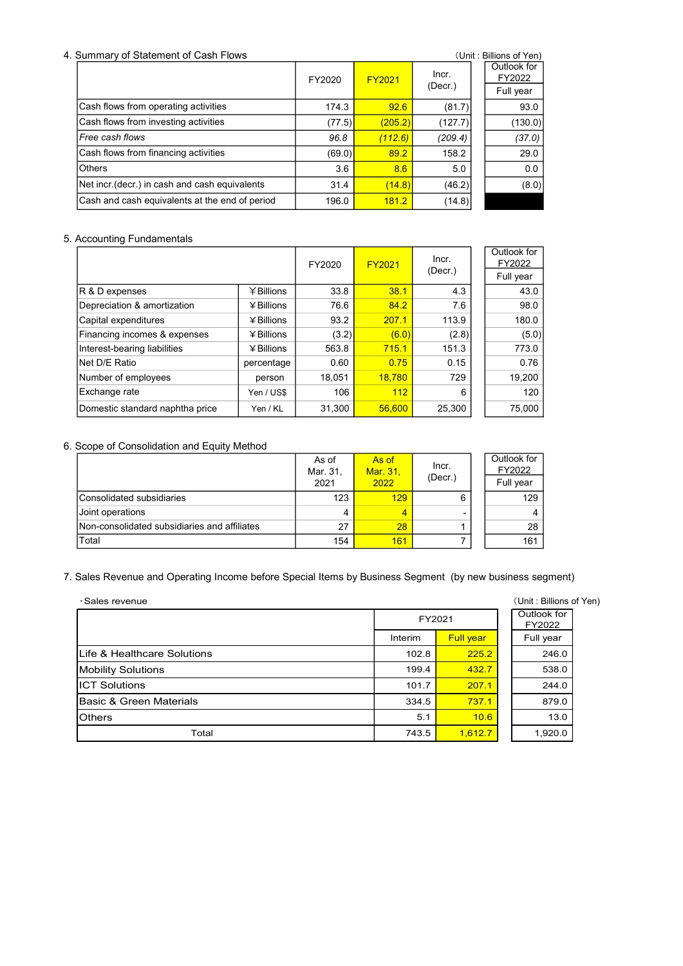#### 4. Summary of Statement of Cash Flows (Unit: Billions of Yen)

| <u>Odininal y Or Olatchicht Or Odsir i Iows</u> |        |               |         | $\sqrt{2}$            |
|-------------------------------------------------|--------|---------------|---------|-----------------------|
|                                                 | FY2020 | <b>FY2021</b> | Incr.   | Outlook for<br>FY2022 |
|                                                 |        |               | (Decr.) | Full year             |
| Cash flows from operating activities            | 174.3  | 92.6          | (81.7)  | 93.0                  |
| Cash flows from investing activities            | (77.5) | (205.2)       | (127.7) | (130.0)               |
| Free cash flows                                 | 96.8   | (112.6)       | (209.4) | (37.0)                |
| Cash flows from financing activities            | (69.0) | 89.2          | 158.2   | 29.0                  |
| <b>Others</b>                                   | 3.6    | 8.6           | 5.0     | 0.0                   |
| Net incr (decr.) in cash and cash equivalents   | 31.4   | (14.8)        | (46.2)  | (8.0)                 |
| Cash and cash equivalents at the end of period  | 196.0  | 181.2         | (14.8)  |                       |

### 5. Accounting Fundamentals

|                                 |              | FY2020 | <b>FY2021</b> | Incr.   | Outlook for<br>FY2022 |
|---------------------------------|--------------|--------|---------------|---------|-----------------------|
|                                 |              |        |               | (Decr.) | Full year             |
| R & D expenses                  | $¥$ Billions | 33.8   | 38.1          | 4.3     | 43.0                  |
| Depreciation & amortization     | $4$ Billions | 76.6   | 84.2          | 7.6     | 98.0                  |
| Capital expenditures            | $4$ Billions | 93.2   | 207.1         | 113.9   | 180.0                 |
| Financing incomes & expenses    | $4$ Billions | (3.2)  | (6.0)         | (2.8)   | (5.0)                 |
| Interest-bearing liabilities    | $4$ Billions | 563.8  | 715.1         | 151.3   | 773.0                 |
| Net D/E Ratio                   | percentage   | 0.60   | 0.75          | 0.15    | 0.76                  |
| Number of employees             | person       | 18,051 | 18.780        | 729     | 19,200                |
| Exchange rate                   | Yen / US\$   | 106    | 112           | 6       | 120                   |
| Domestic standard naphtha price | Yen / KL     | 31,300 | 56.600        | 25,300  | 75,000                |

### 6. Scope of Consolidation and Equity Method

|                                              | As of<br>Mar. 31,<br>2021 | As of<br>Mar. 31,<br>2022 | Incr.<br>(Decr.) | Outlook for<br>FY2022<br>Full year |
|----------------------------------------------|---------------------------|---------------------------|------------------|------------------------------------|
| Consolidated subsidiaries                    | 123                       | 129                       | 6                | 129                                |
| Joint operations                             | 4                         |                           |                  | 4                                  |
| Non-consolidated subsidiaries and affiliates | 27                        | 28                        |                  | 28                                 |
| Total                                        | 154                       | 161                       |                  | 161                                |

### 7. Sales Revenue and Operating Income before Special Items by Business Segment (by new business segment)

| 715.1<br>Interest-bearing liabilities<br>¥ Billions<br>563.8<br>151.3<br>773.0<br>Net D/E Ratio<br>0.75<br>0.60<br>0.15<br>0.76<br>percentage<br>18,780<br>Number of employees<br>729<br>19,200<br>18,051<br>person<br>Exchange rate<br>112<br>120<br>Yen / US\$<br>106<br>6<br>Domestic standard naphtha price<br>31,300<br>56,600<br>25,300<br>75,000<br>Yen / KL<br>Scope of Consolidation and Equity Method<br>Outlook for<br>As of<br>As of<br>Incr.<br>FY2022<br>Mar. 31,<br>Mar. 31,<br>(Decr.)<br>Full year<br>2022<br>2021<br>Consolidated subsidiaries<br>129<br>129<br>123<br>6<br>Joint operations<br>$\overline{4}$<br>$\overline{4}$<br>4<br>Non-consolidated subsidiaries and affiliates<br>28<br>27<br>28<br>1 |
|--------------------------------------------------------------------------------------------------------------------------------------------------------------------------------------------------------------------------------------------------------------------------------------------------------------------------------------------------------------------------------------------------------------------------------------------------------------------------------------------------------------------------------------------------------------------------------------------------------------------------------------------------------------------------------------------------------------------------------|
|                                                                                                                                                                                                                                                                                                                                                                                                                                                                                                                                                                                                                                                                                                                                |
|                                                                                                                                                                                                                                                                                                                                                                                                                                                                                                                                                                                                                                                                                                                                |
|                                                                                                                                                                                                                                                                                                                                                                                                                                                                                                                                                                                                                                                                                                                                |
|                                                                                                                                                                                                                                                                                                                                                                                                                                                                                                                                                                                                                                                                                                                                |
|                                                                                                                                                                                                                                                                                                                                                                                                                                                                                                                                                                                                                                                                                                                                |
|                                                                                                                                                                                                                                                                                                                                                                                                                                                                                                                                                                                                                                                                                                                                |
|                                                                                                                                                                                                                                                                                                                                                                                                                                                                                                                                                                                                                                                                                                                                |
|                                                                                                                                                                                                                                                                                                                                                                                                                                                                                                                                                                                                                                                                                                                                |
|                                                                                                                                                                                                                                                                                                                                                                                                                                                                                                                                                                                                                                                                                                                                |
|                                                                                                                                                                                                                                                                                                                                                                                                                                                                                                                                                                                                                                                                                                                                |
|                                                                                                                                                                                                                                                                                                                                                                                                                                                                                                                                                                                                                                                                                                                                |
|                                                                                                                                                                                                                                                                                                                                                                                                                                                                                                                                                                                                                                                                                                                                |
|                                                                                                                                                                                                                                                                                                                                                                                                                                                                                                                                                                                                                                                                                                                                |
| Total<br>161<br>$\overline{7}$<br>154<br>161                                                                                                                                                                                                                                                                                                                                                                                                                                                                                                                                                                                                                                                                                   |
| Sales Revenue and Operating Income before Special Items by Business Segment (by new business segment)<br>(Unit: Billions of Yen)<br>·Sales revenue<br>Outlook for                                                                                                                                                                                                                                                                                                                                                                                                                                                                                                                                                              |
| FY2021<br>FY2022                                                                                                                                                                                                                                                                                                                                                                                                                                                                                                                                                                                                                                                                                                               |
| Interim<br><b>Full year</b><br>Full year                                                                                                                                                                                                                                                                                                                                                                                                                                                                                                                                                                                                                                                                                       |
| Life & Healthcare Solutions<br>102.8<br>225.2<br>246.0                                                                                                                                                                                                                                                                                                                                                                                                                                                                                                                                                                                                                                                                         |
| <b>Mobility Solutions</b><br>199.4<br>432.7<br>538.0                                                                                                                                                                                                                                                                                                                                                                                                                                                                                                                                                                                                                                                                           |
| <b>ICT Solutions</b><br>101.7<br>207.1<br>244.0                                                                                                                                                                                                                                                                                                                                                                                                                                                                                                                                                                                                                                                                                |
| Basic & Green Materials<br>737.1<br>879.0<br>334.5                                                                                                                                                                                                                                                                                                                                                                                                                                                                                                                                                                                                                                                                             |
| Others<br>5.1<br>10.6<br>13.0                                                                                                                                                                                                                                                                                                                                                                                                                                                                                                                                                                                                                                                                                                  |
|                                                                                                                                                                                                                                                                                                                                                                                                                                                                                                                                                                                                                                                                                                                                |
| Total<br>1,612.7<br>743.5<br>1,920.0                                                                                                                                                                                                                                                                                                                                                                                                                                                                                                                                                                                                                                                                                           |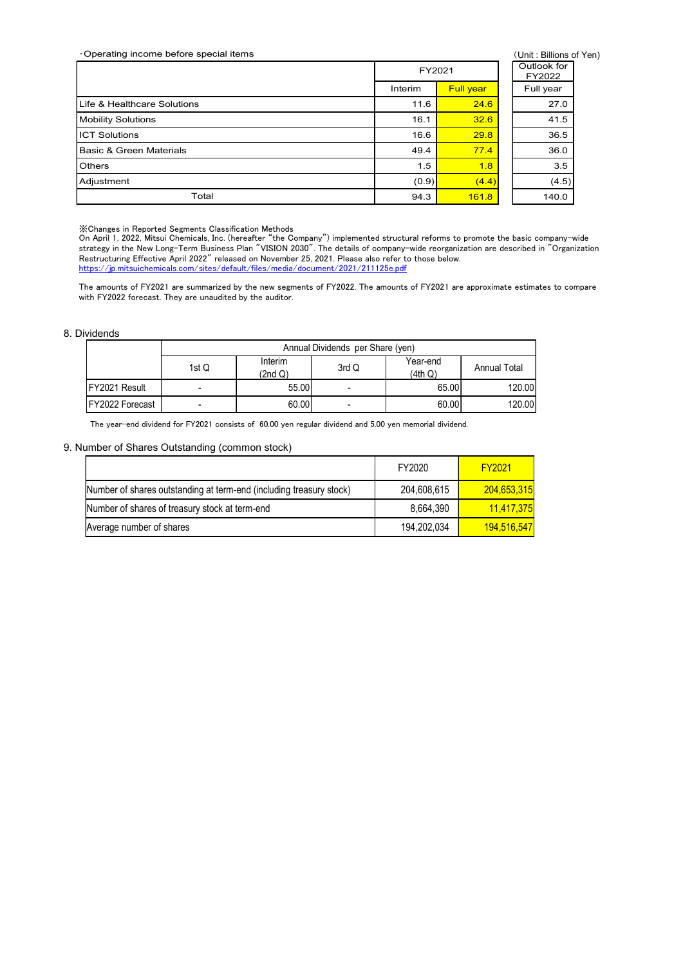| Operating income before special items<br>(Unit: Billions of Yen)<br>Outlook for                                                                                                                                                                                                                                                                                                                                                                                                                                                                                                                                                                                                                                                  |
|----------------------------------------------------------------------------------------------------------------------------------------------------------------------------------------------------------------------------------------------------------------------------------------------------------------------------------------------------------------------------------------------------------------------------------------------------------------------------------------------------------------------------------------------------------------------------------------------------------------------------------------------------------------------------------------------------------------------------------|
|                                                                                                                                                                                                                                                                                                                                                                                                                                                                                                                                                                                                                                                                                                                                  |
|                                                                                                                                                                                                                                                                                                                                                                                                                                                                                                                                                                                                                                                                                                                                  |
|                                                                                                                                                                                                                                                                                                                                                                                                                                                                                                                                                                                                                                                                                                                                  |
|                                                                                                                                                                                                                                                                                                                                                                                                                                                                                                                                                                                                                                                                                                                                  |
|                                                                                                                                                                                                                                                                                                                                                                                                                                                                                                                                                                                                                                                                                                                                  |
|                                                                                                                                                                                                                                                                                                                                                                                                                                                                                                                                                                                                                                                                                                                                  |
|                                                                                                                                                                                                                                                                                                                                                                                                                                                                                                                                                                                                                                                                                                                                  |
|                                                                                                                                                                                                                                                                                                                                                                                                                                                                                                                                                                                                                                                                                                                                  |
|                                                                                                                                                                                                                                                                                                                                                                                                                                                                                                                                                                                                                                                                                                                                  |
|                                                                                                                                                                                                                                                                                                                                                                                                                                                                                                                                                                                                                                                                                                                                  |
|                                                                                                                                                                                                                                                                                                                                                                                                                                                                                                                                                                                                                                                                                                                                  |
|                                                                                                                                                                                                                                                                                                                                                                                                                                                                                                                                                                                                                                                                                                                                  |
|                                                                                                                                                                                                                                                                                                                                                                                                                                                                                                                                                                                                                                                                                                                                  |
|                                                                                                                                                                                                                                                                                                                                                                                                                                                                                                                                                                                                                                                                                                                                  |
| FY2021<br>FY2022                                                                                                                                                                                                                                                                                                                                                                                                                                                                                                                                                                                                                                                                                                                 |
| Full year<br>Interim<br>Full year                                                                                                                                                                                                                                                                                                                                                                                                                                                                                                                                                                                                                                                                                                |
| Life & Healthcare Solutions<br>11.6<br>24.6<br>27.0                                                                                                                                                                                                                                                                                                                                                                                                                                                                                                                                                                                                                                                                              |
| 32.6<br><b>Mobility Solutions</b><br>16.1<br>41.5                                                                                                                                                                                                                                                                                                                                                                                                                                                                                                                                                                                                                                                                                |
| <b>ICT Solutions</b><br>29.8<br>36.5<br>16.6                                                                                                                                                                                                                                                                                                                                                                                                                                                                                                                                                                                                                                                                                     |
| <b>Basic &amp; Green Materials</b><br>49.4<br>77.4<br>36.0                                                                                                                                                                                                                                                                                                                                                                                                                                                                                                                                                                                                                                                                       |
| Others<br>1.5<br>1.8<br>3.5                                                                                                                                                                                                                                                                                                                                                                                                                                                                                                                                                                                                                                                                                                      |
| (4.5)<br>Adjustment<br>(0.9)<br>(4.4)                                                                                                                                                                                                                                                                                                                                                                                                                                                                                                                                                                                                                                                                                            |
| Total<br>94.3<br>161.8<br>140.0                                                                                                                                                                                                                                                                                                                                                                                                                                                                                                                                                                                                                                                                                                  |
| X Changes in Reported Segments Classification Methods<br>On April 1, 2022, Mitsui Chemicals, Inc. (hereafter "the Company") implemented structural reforms to promote the basic company-wide<br>strategy in the New Long-Term Business Plan "VISION 2030". The details of company-wide reorganization are described in "Organization<br>Restructuring Effective April 2022" released on November 25, 2021. Please also refer to those below.<br>https://jp.mitsuichemicals.com/sites/default/files/media/document/2021/211125e.pdf<br>The amounts of FY2021 are summarized by the new segments of FY2022. The amounts of FY2021 are approximate estimates to compare<br>with FY2022 forecast. They are unaudited by the auditor. |
| <b>Dividends</b>                                                                                                                                                                                                                                                                                                                                                                                                                                                                                                                                                                                                                                                                                                                 |
| Annual Dividends per Share (yen)                                                                                                                                                                                                                                                                                                                                                                                                                                                                                                                                                                                                                                                                                                 |
| Interim<br>Year-end<br>3rd Q<br><b>Annual Total</b><br>1st Q<br>(2nd Q)<br>(4th Q)                                                                                                                                                                                                                                                                                                                                                                                                                                                                                                                                                                                                                                               |
| FY2021 Result<br>120.00<br>55.00<br>65.00<br>$\blacksquare$                                                                                                                                                                                                                                                                                                                                                                                                                                                                                                                                                                                                                                                                      |
| FY2022 Forecast<br>60.00<br>60.00<br>120.00<br>$\blacksquare$<br>$\blacksquare$                                                                                                                                                                                                                                                                                                                                                                                                                                                                                                                                                                                                                                                  |
| The year-end dividend for FY2021 consists of 60.00 yen regular dividend and 5.00 yen memorial dividend.                                                                                                                                                                                                                                                                                                                                                                                                                                                                                                                                                                                                                          |
| Number of Shares Outstanding (common stock)                                                                                                                                                                                                                                                                                                                                                                                                                                                                                                                                                                                                                                                                                      |
| <b>FY2021</b><br>FY2020                                                                                                                                                                                                                                                                                                                                                                                                                                                                                                                                                                                                                                                                                                          |

#### 8. Dividends

|                         |       |                    | Annual Dividends per Share (yen) |                     |                     |
|-------------------------|-------|--------------------|----------------------------------|---------------------|---------------------|
|                         | 1st Q | Interim<br>(2nd Q) | 3rd Q                            | Year-end<br>(4th Q) | <b>Annual Total</b> |
| <b>FY2021 Result</b>    | -     | 55.00              | -                                | 65.00               | 120.00              |
| <b>IFY2022 Forecast</b> |       | 60.00              |                                  | 60.00               | 120.00              |

#### 9. Number of Shares Outstanding (common stock)

|                                                                                                                                                                                                                                                                                                                                                                                                                                                                                                                                                                                                                                                                                                                               | Total   |                                                                                                         |                                  | 94.3                | 161.8               | 140.0      |
|-------------------------------------------------------------------------------------------------------------------------------------------------------------------------------------------------------------------------------------------------------------------------------------------------------------------------------------------------------------------------------------------------------------------------------------------------------------------------------------------------------------------------------------------------------------------------------------------------------------------------------------------------------------------------------------------------------------------------------|---------|---------------------------------------------------------------------------------------------------------|----------------------------------|---------------------|---------------------|------------|
| «Changes in Reported Segments Classification Methods<br>)n April 1, 2022, Mitsui Chemicals, Inc. (hereafter "the Company") implemented structural reforms to promote the basic company-wide<br>trategy in the New Long-Term Business Plan "VISION 2030". The details of company-wide reorganization are described in "Organization<br>Nestructuring Effective April 2022" released on November 25, 2021. Please also refer to those below.<br>ttps://jp.mitsuichemicals.com/sites/default/files/media/document/2021/211125e.pdf<br>The amounts of FY2021 are summarized by the new segments of FY2022. The amounts of FY2021 are approximate estimates to compare<br>vith FY2022 forecast. They are unaudited by the auditor. |         |                                                                                                         |                                  |                     |                     |            |
| ividends                                                                                                                                                                                                                                                                                                                                                                                                                                                                                                                                                                                                                                                                                                                      |         |                                                                                                         |                                  |                     |                     |            |
|                                                                                                                                                                                                                                                                                                                                                                                                                                                                                                                                                                                                                                                                                                                               |         |                                                                                                         | Annual Dividends per Share (yen) |                     |                     |            |
|                                                                                                                                                                                                                                                                                                                                                                                                                                                                                                                                                                                                                                                                                                                               | 1st $Q$ | Interim<br>(2nd Q)                                                                                      | 3rd Q                            | Year-end<br>(4th Q) | <b>Annual Total</b> |            |
| FY2021 Result                                                                                                                                                                                                                                                                                                                                                                                                                                                                                                                                                                                                                                                                                                                 |         | 55.00                                                                                                   |                                  |                     | 65.00               | 120.00     |
| FY2022 Forecast                                                                                                                                                                                                                                                                                                                                                                                                                                                                                                                                                                                                                                                                                                               |         | 60.00                                                                                                   |                                  |                     | 60.00               | 120.00     |
| umber of Shares Outstanding (common stock)                                                                                                                                                                                                                                                                                                                                                                                                                                                                                                                                                                                                                                                                                    |         | The year-end dividend for FY2021 consists of 60.00 yen regular dividend and 5.00 yen memorial dividend. |                                  |                     |                     |            |
|                                                                                                                                                                                                                                                                                                                                                                                                                                                                                                                                                                                                                                                                                                                               |         |                                                                                                         |                                  |                     |                     |            |
|                                                                                                                                                                                                                                                                                                                                                                                                                                                                                                                                                                                                                                                                                                                               |         |                                                                                                         |                                  | FY2020              | <b>FY2021</b>       |            |
| Number of shares outstanding at term-end (including treasury stock)                                                                                                                                                                                                                                                                                                                                                                                                                                                                                                                                                                                                                                                           |         |                                                                                                         |                                  | 204,608,615         | 204,653,315         |            |
| Number of shares of treasury stock at term-end                                                                                                                                                                                                                                                                                                                                                                                                                                                                                                                                                                                                                                                                                |         |                                                                                                         |                                  | 8,664,390           |                     | 11,417,375 |
| Average number of shares                                                                                                                                                                                                                                                                                                                                                                                                                                                                                                                                                                                                                                                                                                      |         |                                                                                                         |                                  | 194,202,034         | 194,516,547         |            |
|                                                                                                                                                                                                                                                                                                                                                                                                                                                                                                                                                                                                                                                                                                                               |         |                                                                                                         |                                  |                     |                     |            |
|                                                                                                                                                                                                                                                                                                                                                                                                                                                                                                                                                                                                                                                                                                                               |         |                                                                                                         |                                  |                     |                     |            |
|                                                                                                                                                                                                                                                                                                                                                                                                                                                                                                                                                                                                                                                                                                                               |         |                                                                                                         |                                  |                     |                     |            |
|                                                                                                                                                                                                                                                                                                                                                                                                                                                                                                                                                                                                                                                                                                                               |         |                                                                                                         |                                  |                     |                     |            |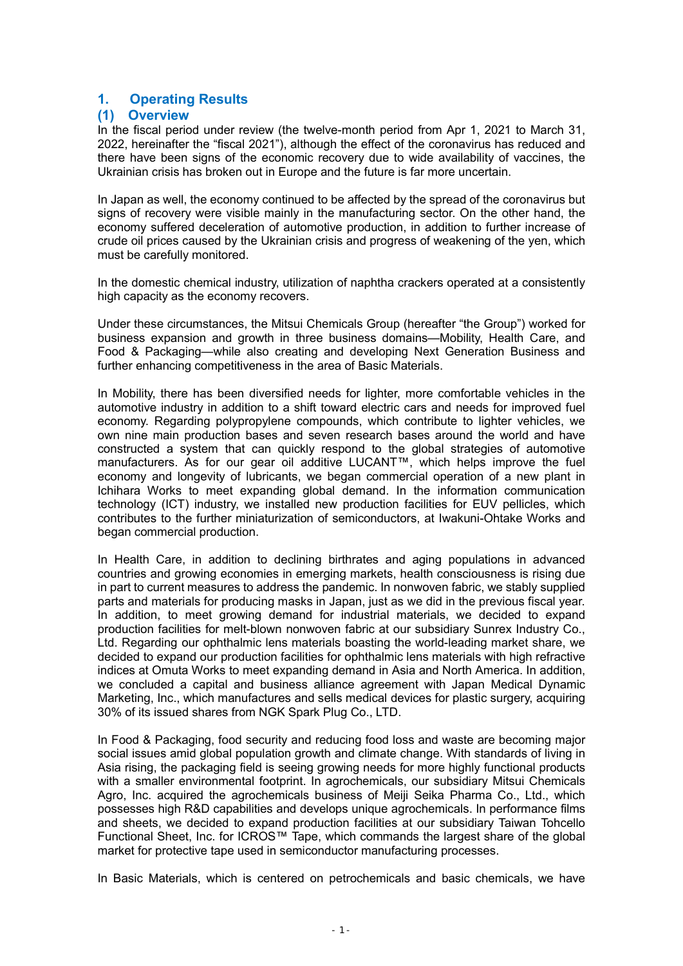# 1. Operating Results

### (1) Overview

In the fiscal period under review (the twelve-month period from Apr 1, 2021 to March 31, 2022, hereinafter the "fiscal 2021"), although the effect of the coronavirus has reduced and there have been signs of the economic recovery due to wide availability of vaccines, the Ukrainian crisis has broken out in Europe and the future is far more uncertain.

In Japan as well, the economy continued to be affected by the spread of the coronavirus but signs of recovery were visible mainly in the manufacturing sector. On the other hand, the economy suffered deceleration of automotive production, in addition to further increase of crude oil prices caused by the Ukrainian crisis and progress of weakening of the yen, which must be carefully monitored.

In the domestic chemical industry, utilization of naphtha crackers operated at a consistently high capacity as the economy recovers.

Under these circumstances, the Mitsui Chemicals Group (hereafter "the Group") worked for business expansion and growth in three business domains—Mobility, Health Care, and Food & Packaging—while also creating and developing Next Generation Business and further enhancing competitiveness in the area of Basic Materials.

In Mobility, there has been diversified needs for lighter, more comfortable vehicles in the automotive industry in addition to a shift toward electric cars and needs for improved fuel economy. Regarding polypropylene compounds, which contribute to lighter vehicles, we own nine main production bases and seven research bases around the world and have constructed a system that can quickly respond to the global strategies of automotive manufacturers. As for our gear oil additive LUCANT™, which helps improve the fuel economy and longevity of lubricants, we began commercial operation of a new plant in Ichihara Works to meet expanding global demand. In the information communication technology (ICT) industry, we installed new production facilities for EUV pellicles, which contributes to the further miniaturization of semiconductors, at Iwakuni-Ohtake Works and began commercial production.

In Health Care, in addition to declining birthrates and aging populations in advanced countries and growing economies in emerging markets, health consciousness is rising due in part to current measures to address the pandemic. In nonwoven fabric, we stably supplied parts and materials for producing masks in Japan, just as we did in the previous fiscal year. In addition, to meet growing demand for industrial materials, we decided to expand production facilities for melt-blown nonwoven fabric at our subsidiary Sunrex Industry Co., Ltd. Regarding our ophthalmic lens materials boasting the world-leading market share, we decided to expand our production facilities for ophthalmic lens materials with high refractive indices at Omuta Works to meet expanding demand in Asia and North America. In addition, we concluded a capital and business alliance agreement with Japan Medical Dynamic Marketing, Inc., which manufactures and sells medical devices for plastic surgery, acquiring 30% of its issued shares from NGK Spark Plug Co., LTD.

In Food & Packaging, food security and reducing food loss and waste are becoming major social issues amid global population growth and climate change. With standards of living in Asia rising, the packaging field is seeing growing needs for more highly functional products with a smaller environmental footprint. In agrochemicals, our subsidiary Mitsui Chemicals Agro, Inc. acquired the agrochemicals business of Meiji Seika Pharma Co., Ltd., which possesses high R&D capabilities and develops unique agrochemicals. In performance films and sheets, we decided to expand production facilities at our subsidiary Taiwan Tohcello Functional Sheet, Inc. for ICROS™ Tape, which commands the largest share of the global market for protective tape used in semiconductor manufacturing processes.

In Basic Materials, which is centered on petrochemicals and basic chemicals, we have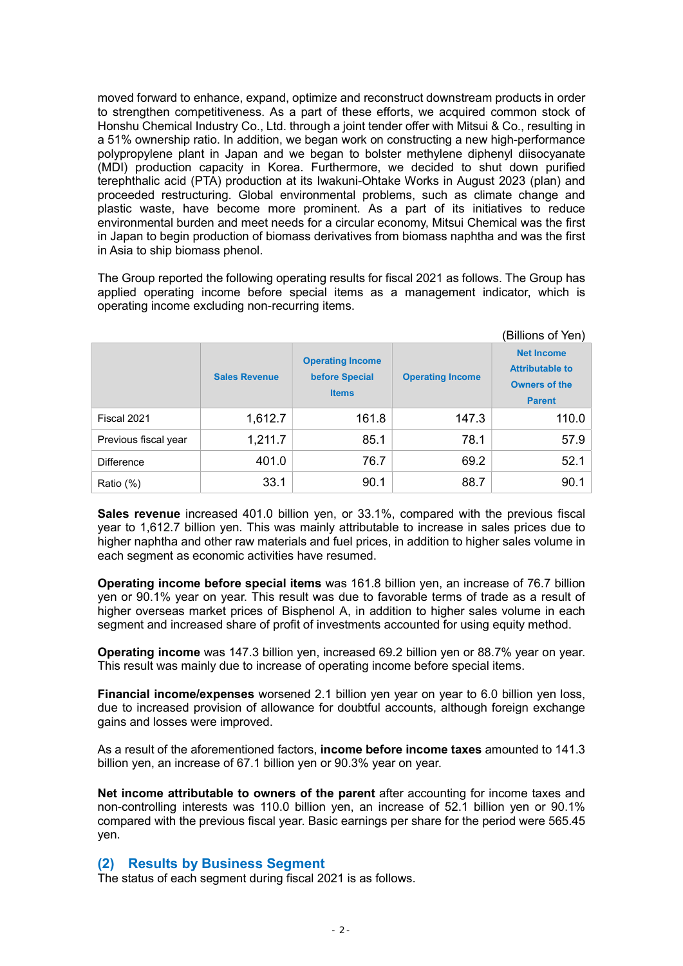moved forward to enhance, expand, optimize and reconstruct downstream products in order to strengthen competitiveness. As a part of these efforts, we acquired common stock of Honshu Chemical Industry Co., Ltd. through a joint tender offer with Mitsui & Co., resulting in a 51% ownership ratio. In addition, we began work on constructing a new high-performance polypropylene plant in Japan and we began to bolster methylene diphenyl diisocyanate (MDI) production capacity in Korea. Furthermore, we decided to shut down purified terephthalic acid (PTA) production at its Iwakuni-Ohtake Works in August 2023 (plan) and proceeded restructuring. Global environmental problems, such as climate change and plastic waste, have become more prominent. As a part of its initiatives to reduce environmental burden and meet needs for a circular economy, Mitsui Chemical was the first in Japan to begin production of biomass derivatives from biomass naphtha and was the first in Asia to ship biomass phenol.

The Group reported the following operating results for fiscal 2021 as follows. The Group has applied operating income before special items as a management indicator, which is operating income excluding non-recurring items.

|                      |                      |                                                           |                         | (Billions of Yen)                                                                    |
|----------------------|----------------------|-----------------------------------------------------------|-------------------------|--------------------------------------------------------------------------------------|
|                      | <b>Sales Revenue</b> | <b>Operating Income</b><br>before Special<br><b>Items</b> | <b>Operating Income</b> | <b>Net Income</b><br><b>Attributable to</b><br><b>Owners of the</b><br><b>Parent</b> |
| Fiscal 2021          | 1,612.7              | 161.8                                                     | 147.3                   | 110.0                                                                                |
| Previous fiscal year | 1,211.7              | 85.1                                                      | 78.1                    | 57.9                                                                                 |
| <b>Difference</b>    | 401.0                | 76.7                                                      | 69.2                    | 52.1                                                                                 |
| Ratio (%)            | 33.1                 | 90.1                                                      | 88.7                    | 90.1                                                                                 |

Sales revenue increased 401.0 billion yen, or 33.1%, compared with the previous fiscal year to 1,612.7 billion yen. This was mainly attributable to increase in sales prices due to higher naphtha and other raw materials and fuel prices, in addition to higher sales volume in each segment as economic activities have resumed.

Operating income before special items was 161.8 billion yen, an increase of 76.7 billion yen or 90.1% year on year. This result was due to favorable terms of trade as a result of higher overseas market prices of Bisphenol A, in addition to higher sales volume in each segment and increased share of profit of investments accounted for using equity method.

Operating income was 147.3 billion yen, increased 69.2 billion yen or 88.7% year on year. This result was mainly due to increase of operating income before special items.

Financial income/expenses worsened 2.1 billion yen year on year to 6.0 billion yen loss, due to increased provision of allowance for doubtful accounts, although foreign exchange gains and losses were improved.

As a result of the aforementioned factors, income before income taxes amounted to 141.3 billion yen, an increase of 67.1 billion yen or 90.3% year on year.

Net income attributable to owners of the parent after accounting for income taxes and non-controlling interests was 110.0 billion yen, an increase of 52.1 billion yen or 90.1% compared with the previous fiscal year. Basic earnings per share for the period were 565.45 yen.

### (2) Results by Business Segment

The status of each segment during fiscal 2021 is as follows.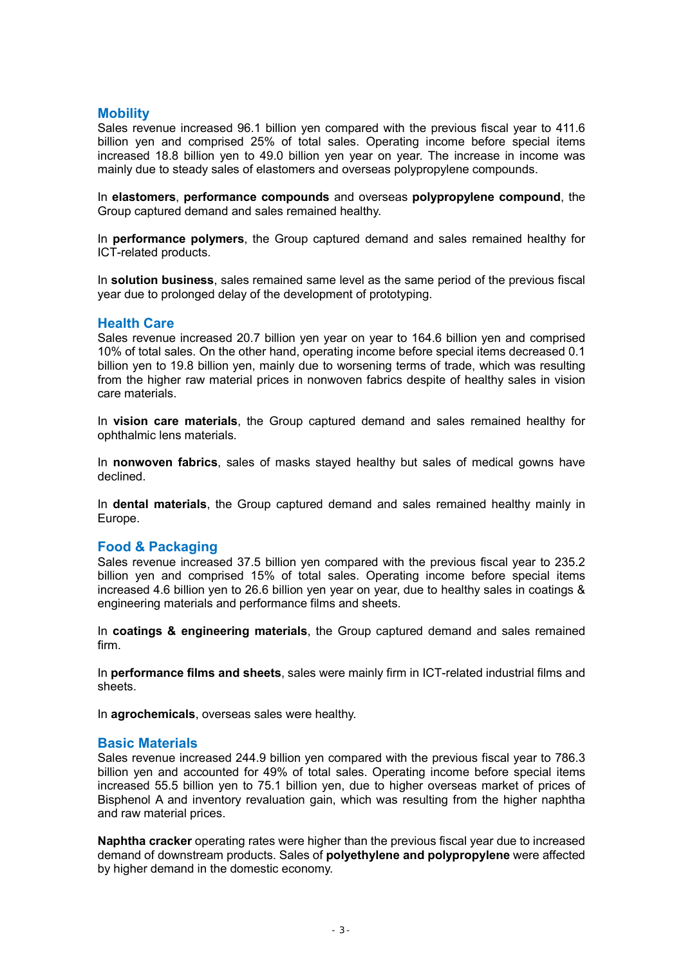# **Mobility**

Sales revenue increased 96.1 billion yen compared with the previous fiscal year to 411.6 billion yen and comprised 25% of total sales. Operating income before special items increased 18.8 billion yen to 49.0 billion yen year on year. The increase in income was mainly due to steady sales of elastomers and overseas polypropylene compounds.

In elastomers, performance compounds and overseas polypropylene compound, the Group captured demand and sales remained healthy.

In performance polymers, the Group captured demand and sales remained healthy for ICT-related products.

In solution business, sales remained same level as the same period of the previous fiscal year due to prolonged delay of the development of prototyping.

### Health Care

Sales revenue increased 20.7 billion yen year on year to 164.6 billion yen and comprised 10% of total sales. On the other hand, operating income before special items decreased 0.1 billion yen to 19.8 billion yen, mainly due to worsening terms of trade, which was resulting from the higher raw material prices in nonwoven fabrics despite of healthy sales in vision care materials.

In vision care materials, the Group captured demand and sales remained healthy for ophthalmic lens materials.

In nonwoven fabrics, sales of masks stayed healthy but sales of medical gowns have declined.

In dental materials, the Group captured demand and sales remained healthy mainly in Europe.

### Food & Packaging

Sales revenue increased 37.5 billion yen compared with the previous fiscal year to 235.2 billion yen and comprised 15% of total sales. Operating income before special items increased 4.6 billion yen to 26.6 billion yen year on year, due to healthy sales in coatings & engineering materials and performance films and sheets.

In coatings & engineering materials, the Group captured demand and sales remained firm.

In performance films and sheets, sales were mainly firm in ICT-related industrial films and sheets.

In agrochemicals, overseas sales were healthy.

#### Basic Materials

Sales revenue increased 244.9 billion yen compared with the previous fiscal year to 786.3 billion yen and accounted for 49% of total sales. Operating income before special items increased 55.5 billion yen to 75.1 billion yen, due to higher overseas market of prices of Bisphenol A and inventory revaluation gain, which was resulting from the higher naphtha and raw material prices.

Naphtha cracker operating rates were higher than the previous fiscal year due to increased demand of downstream products. Sales of polyethylene and polypropylene were affected by higher demand in the domestic economy.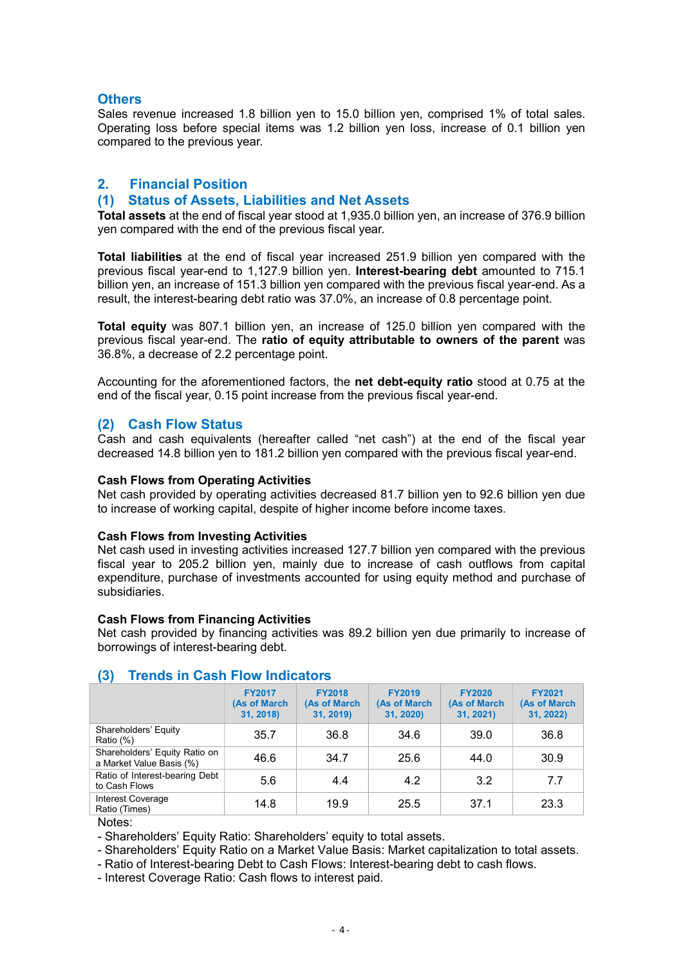### **Others**

Sales revenue increased 1.8 billion yen to 15.0 billion yen, comprised 1% of total sales. Operating loss before special items was 1.2 billion yen loss, increase of 0.1 billion yen compared to the previous year.

# 2. Financial Position

### (1) Status of Assets, Liabilities and Net Assets

Total assets at the end of fiscal year stood at 1,935.0 billion yen, an increase of 376.9 billion yen compared with the end of the previous fiscal year.

Total liabilities at the end of fiscal year increased 251.9 billion yen compared with the previous fiscal year-end to 1,127.9 billion yen. Interest-bearing debt amounted to 715.1 billion yen, an increase of 151.3 billion yen compared with the previous fiscal year-end. As a result, the interest-bearing debt ratio was 37.0%, an increase of 0.8 percentage point.

Total equity was 807.1 billion yen, an increase of 125.0 billion yen compared with the previous fiscal year-end. The ratio of equity attributable to owners of the parent was 36.8%, a decrease of 2.2 percentage point.

Accounting for the aforementioned factors, the net debt-equity ratio stood at 0.75 at the end of the fiscal year, 0.15 point increase from the previous fiscal year-end.

### (2) Cash Flow Status

Cash and cash equivalents (hereafter called "net cash") at the end of the fiscal year decreased 14.8 billion yen to 181.2 billion yen compared with the previous fiscal year-end.

#### Cash Flows from Operating Activities

Net cash provided by operating activities decreased 81.7 billion yen to 92.6 billion yen due to increase of working capital, despite of higher income before income taxes.

#### Cash Flows from Investing Activities

Net cash used in investing activities increased 127.7 billion yen compared with the previous fiscal year to 205.2 billion yen, mainly due to increase of cash outflows from capital expenditure, purchase of investments accounted for using equity method and purchase of subsidiaries.

#### Cash Flows from Financing Activities

Net cash provided by financing activities was 89.2 billion yen due primarily to increase of borrowings of interest-bearing debt.

| - 1                                        |                                            |                                            |                                            |                                            |  |  |  |  |
|--------------------------------------------|--------------------------------------------|--------------------------------------------|--------------------------------------------|--------------------------------------------|--|--|--|--|
| <b>FY2017</b><br>(As of March<br>31, 2018) | <b>FY2018</b><br>(As of March<br>31, 2019) | <b>FY2019</b><br>(As of March<br>31, 2020) | <b>FY2020</b><br>(As of March<br>31, 2021) | <b>FY2021</b><br>(As of March<br>31, 2022) |  |  |  |  |
| 35.7                                       | 36.8                                       | 34.6                                       | 39.0                                       | 36.8                                       |  |  |  |  |
| 46.6                                       | 34.7                                       | 25.6                                       | 44.0                                       | 30.9                                       |  |  |  |  |
| 5.6                                        | 4.4                                        | 4.2                                        | 3.2                                        | 7.7                                        |  |  |  |  |
| 14.8                                       | 19.9                                       | 25.5                                       | 37.1                                       | 23.3                                       |  |  |  |  |
|                                            |                                            |                                            |                                            |                                            |  |  |  |  |

# (3) Trends in Cash Flow Indicators

Notes:

- Shareholders' Equity Ratio: Shareholders' equity to total assets.

- Shareholders' Equity Ratio on a Market Value Basis: Market capitalization to total assets.

- Ratio of Interest-bearing Debt to Cash Flows: Interest-bearing debt to cash flows.

- Interest Coverage Ratio: Cash flows to interest paid.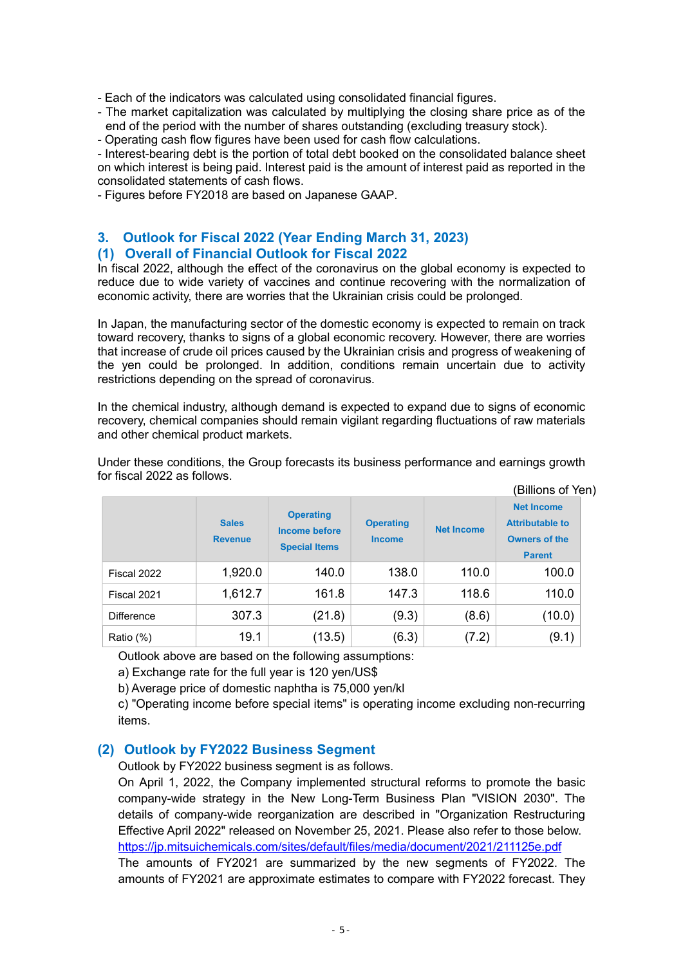- Each of the indicators was calculated using consolidated financial figures.

- The market capitalization was calculated by multiplying the closing share price as of the end of the period with the number of shares outstanding (excluding treasury stock).

- Operating cash flow figures have been used for cash flow calculations.

- Interest-bearing debt is the portion of total debt booked on the consolidated balance sheet on which interest is being paid. Interest paid is the amount of interest paid as reported in the consolidated statements of cash flows.

- Figures before FY2018 are based on Japanese GAAP.

### 3. Outlook for Fiscal 2022 (Year Ending March 31, 2023) (1) Overall of Financial Outlook for Fiscal 2022

In fiscal 2022, although the effect of the coronavirus on the global economy is expected to reduce due to wide variety of vaccines and continue recovering with the normalization of economic activity, there are worries that the Ukrainian crisis could be prolonged.

In Japan, the manufacturing sector of the domestic economy is expected to remain on track toward recovery, thanks to signs of a global economic recovery. However, there are worries that increase of crude oil prices caused by the Ukrainian crisis and progress of weakening of the yen could be prolonged. In addition, conditions remain uncertain due to activity restrictions depending on the spread of coronavirus.

In the chemical industry, although demand is expected to expand due to signs of economic recovery, chemical companies should remain vigilant regarding fluctuations of raw materials and other chemical product markets.

|                   |                                |                                                                  |                                   |                   | (Billions of Yen)                                                                    |  |
|-------------------|--------------------------------|------------------------------------------------------------------|-----------------------------------|-------------------|--------------------------------------------------------------------------------------|--|
|                   | <b>Sales</b><br><b>Revenue</b> | <b>Operating</b><br><b>Income before</b><br><b>Special Items</b> | <b>Operating</b><br><b>Income</b> | <b>Net Income</b> | <b>Net Income</b><br><b>Attributable to</b><br><b>Owners of the</b><br><b>Parent</b> |  |
| Fiscal 2022       | 1,920.0                        | 140.0                                                            | 138.0                             | 110.0             | 100.0                                                                                |  |
| Fiscal 2021       | 1,612.7                        | 161.8                                                            | 147.3                             | 118.6             | 110.0                                                                                |  |
| <b>Difference</b> | 307.3                          | (21.8)                                                           | (9.3)                             | (8.6)             | (10.0)                                                                               |  |
| Ratio (%)         | 19.1                           | (13.5)                                                           | (6.3)                             | (7.2)             | (9.1)                                                                                |  |

Under these conditions, the Group forecasts its business performance and earnings growth for fiscal 2022 as follows.

Outlook above are based on the following assumptions:

a) Exchange rate for the full year is 120 yen/US\$

b) Average price of domestic naphtha is 75,000 yen/kl

c) "Operating income before special items" is operating income excluding non-recurring items.

### (2) Outlook by FY2022 Business Segment

Outlook by FY2022 business segment is as follows.

On April 1, 2022, the Company implemented structural reforms to promote the basic company-wide strategy in the New Long-Term Business Plan "VISION 2030". The details of company-wide reorganization are described in "Organization Restructuring Effective April 2022" released on November 25, 2021. Please also refer to those below. https://jp.mitsuichemicals.com/sites/default/files/media/document/2021/211125e.pdf

The amounts of FY2021 are summarized by the new segments of FY2022. The amounts of FY2021 are approximate estimates to compare with FY2022 forecast. They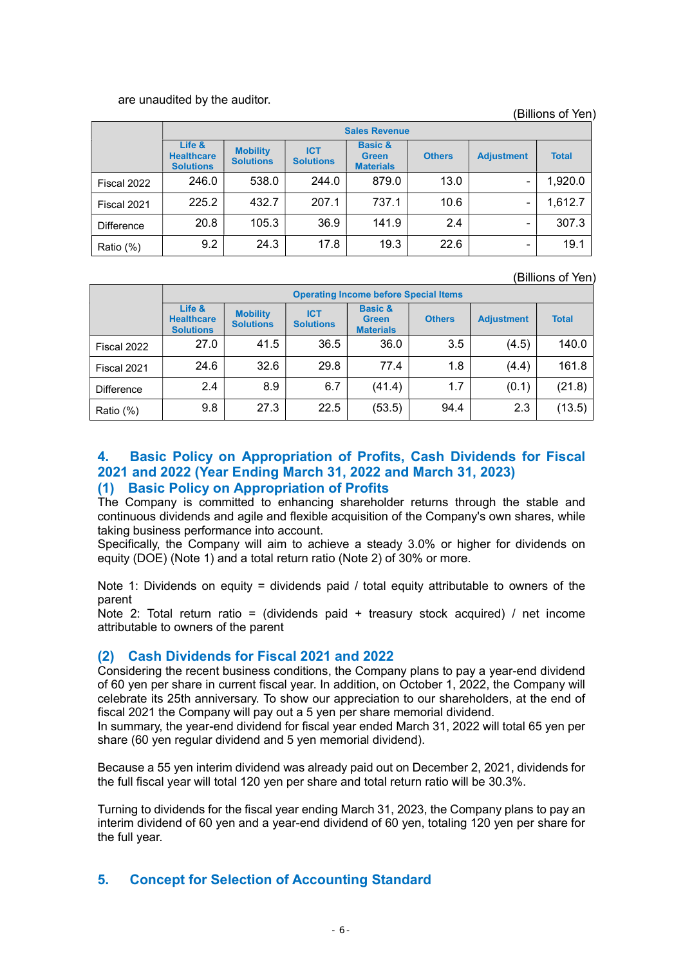#### are unaudited by the auditor.

(Billions of Yen)

|             | <b>Sales Revenue</b>                            |                                     |                                |                                                        |               |                   |              |  |
|-------------|-------------------------------------------------|-------------------------------------|--------------------------------|--------------------------------------------------------|---------------|-------------------|--------------|--|
|             | Life &<br><b>Healthcare</b><br><b>Solutions</b> | <b>Mobility</b><br><b>Solutions</b> | <b>ICT</b><br><b>Solutions</b> | <b>Basic &amp;</b><br><b>Green</b><br><b>Materials</b> | <b>Others</b> | <b>Adjustment</b> | <b>Total</b> |  |
| Fiscal 2022 | 246.0                                           | 538.0                               | 244.0                          | 879.0                                                  | 13.0          | -                 | 1,920.0      |  |
| Fiscal 2021 | 225.2                                           | 432.7                               | 207.1                          | 737.1                                                  | 10.6          | -                 | 1,612.7      |  |
| Difference  | 20.8                                            | 105.3                               | 36.9                           | 141.9                                                  | 2.4           |                   | 307.3        |  |
| Ratio (%)   | 9.2                                             | 24.3                                | 17.8                           | 19.3                                                   | 22.6          | -                 | 19.1         |  |

(Billions of Yen)

|                   | <b>Operating Income before Special Items</b>    |                                     |                                |                                                        |               |                   |              |  |
|-------------------|-------------------------------------------------|-------------------------------------|--------------------------------|--------------------------------------------------------|---------------|-------------------|--------------|--|
|                   | Life &<br><b>Healthcare</b><br><b>Solutions</b> | <b>Mobility</b><br><b>Solutions</b> | <b>ICT</b><br><b>Solutions</b> | <b>Basic &amp;</b><br><b>Green</b><br><b>Materials</b> | <b>Others</b> | <b>Adjustment</b> | <b>Total</b> |  |
| Fiscal 2022       | 27.0                                            | 41.5                                | 36.5                           | 36.0                                                   | 3.5           | (4.5)             | 140.0        |  |
| Fiscal 2021       | 24.6                                            | 32.6                                | 29.8                           | 77.4                                                   | 1.8           | (4.4)             | 161.8        |  |
| <b>Difference</b> | 2.4                                             | 8.9                                 | 6.7                            | (41.4)                                                 | 1.7           | (0.1)             | (21.8)       |  |
| Ratio (%)         | 9.8                                             | 27.3                                | 22.5                           | (53.5)                                                 | 94.4          | 2.3               | (13.5)       |  |

# 4. Basic Policy on Appropriation of Profits, Cash Dividends for Fiscal 2021 and 2022 (Year Ending March 31, 2022 and March 31, 2023) (1) Basic Policy on Appropriation of Profits

The Company is committed to enhancing shareholder returns through the stable and continuous dividends and agile and flexible acquisition of the Company's own shares, while taking business performance into account.

Specifically, the Company will aim to achieve a steady 3.0% or higher for dividends on equity (DOE) (Note 1) and a total return ratio (Note 2) of 30% or more.

Note 1: Dividends on equity = dividends paid / total equity attributable to owners of the parent

Note 2: Total return ratio = (dividends paid + treasury stock acquired) / net income attributable to owners of the parent

# (2) Cash Dividends for Fiscal 2021 and 2022

Considering the recent business conditions, the Company plans to pay a year-end dividend of 60 yen per share in current fiscal year. In addition, on October 1, 2022, the Company will celebrate its 25th anniversary. To show our appreciation to our shareholders, at the end of fiscal 2021 the Company will pay out a 5 yen per share memorial dividend.

In summary, the year-end dividend for fiscal year ended March 31, 2022 will total 65 yen per share (60 yen regular dividend and 5 yen memorial dividend).

Because a 55 yen interim dividend was already paid out on December 2, 2021, dividends for the full fiscal year will total 120 yen per share and total return ratio will be 30.3%.

Turning to dividends for the fiscal year ending March 31, 2023, the Company plans to pay an interim dividend of 60 yen and a year-end dividend of 60 yen, totaling 120 yen per share for the full year.

# 5. Concept for Selection of Accounting Standard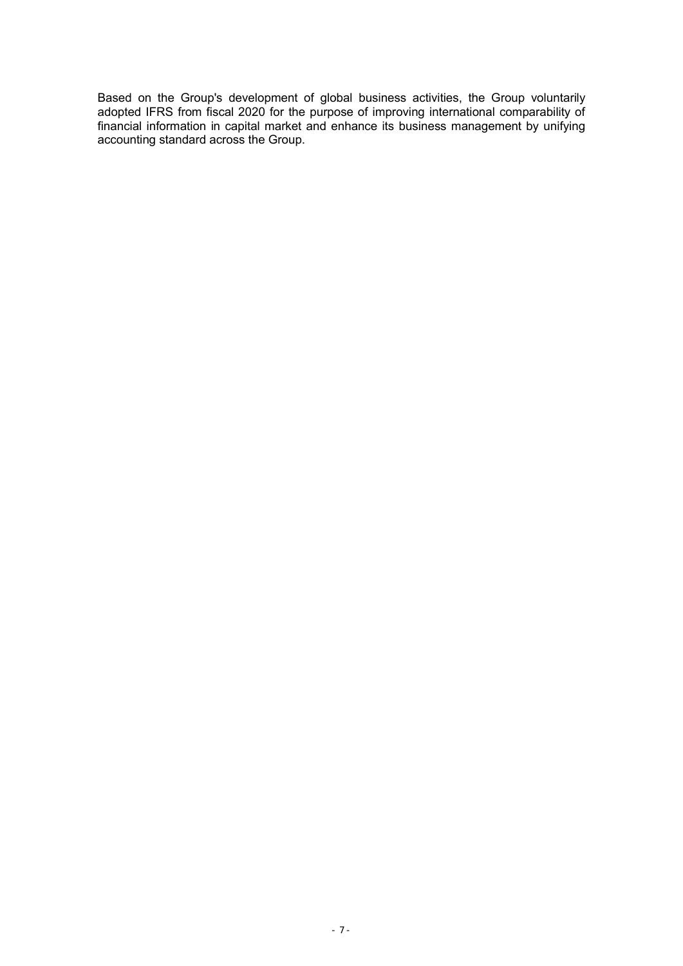Based on the Group's development of global business activities, the Group voluntarily adopted IFRS from fiscal 2020 for the purpose of improving international comparability of financial information in capital market and enhance its business management by unifying accounting standard across the Group.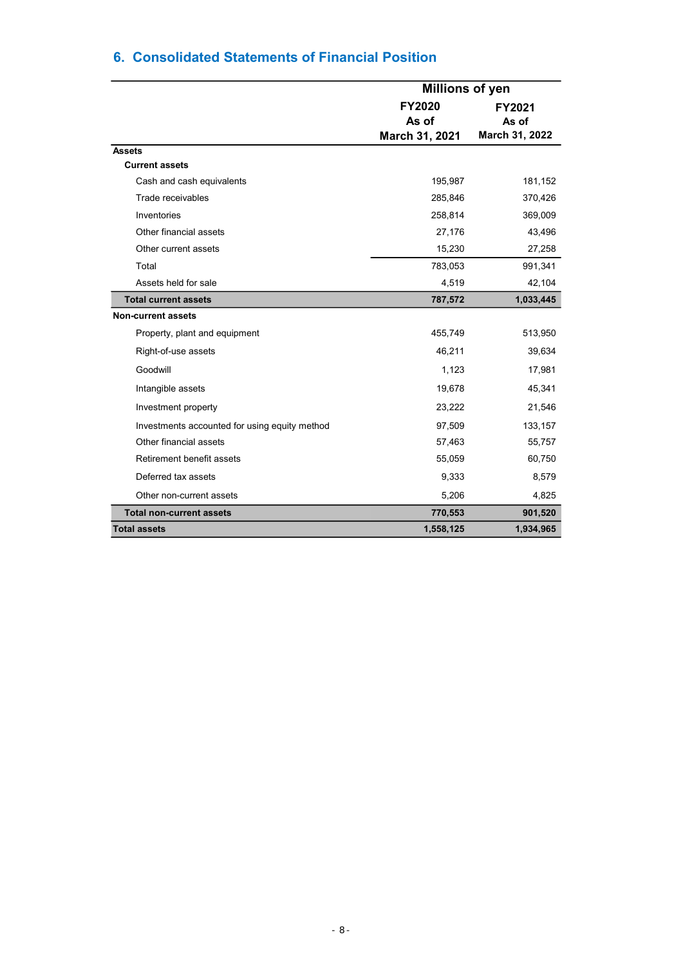|                                               | <b>Millions of yen</b>                   |                                   |
|-----------------------------------------------|------------------------------------------|-----------------------------------|
|                                               | <b>FY2020</b><br>As of<br>March 31, 2021 | FY2021<br>As of<br>March 31, 2022 |
| <b>Assets</b>                                 |                                          |                                   |
| <b>Current assets</b>                         |                                          |                                   |
| Cash and cash equivalents                     | 195,987                                  | 181,152                           |
| Trade receivables                             | 285,846                                  | 370,426                           |
| Inventories                                   | 258,814                                  | 369,009                           |
| Other financial assets                        | 27,176                                   | 43,496                            |
| Other current assets                          | 15,230                                   | 27,258                            |
| Total                                         | 783,053                                  | 991,341                           |
| Assets held for sale                          | 4,519                                    | 42,104                            |
| <b>Total current assets</b>                   | 787,572                                  | 1,033,445                         |
| <b>Non-current assets</b>                     |                                          |                                   |
| Property, plant and equipment                 | 455,749                                  | 513,950                           |
| Right-of-use assets                           | 46,211                                   | 39,634                            |
| Goodwill                                      | 1,123                                    | 17,981                            |
| Intangible assets                             | 19,678                                   | 45,341                            |
| Investment property                           | 23,222                                   | 21,546                            |
| Investments accounted for using equity method | 97,509                                   | 133,157                           |
| Other financial assets                        | 57,463                                   | 55,757                            |
| Retirement benefit assets                     | 55,059                                   | 60,750                            |
| Deferred tax assets                           | 9,333                                    | 8,579                             |
| Other non-current assets                      | 5,206                                    | 4,825                             |
| <b>Total non-current assets</b>               | 770,553                                  | 901,520                           |
| <b>Total assets</b>                           | 1,558,125                                | 1,934,965                         |

# 6. Consolidated Statements of Financial Position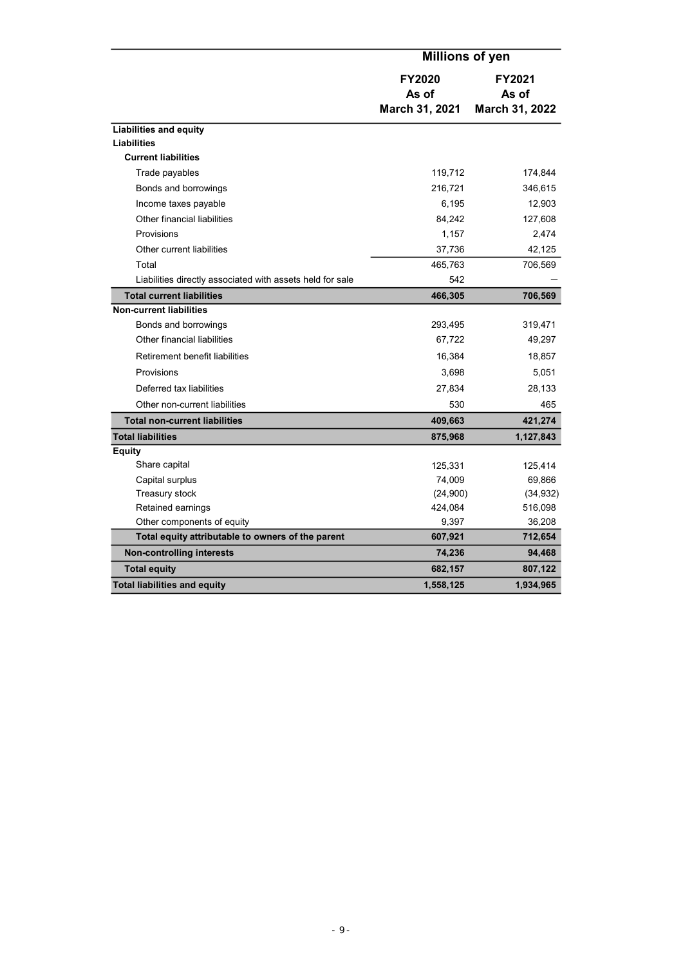|                                                           | <b>Millions of yen</b>                   |                                   |
|-----------------------------------------------------------|------------------------------------------|-----------------------------------|
|                                                           | <b>FY2020</b><br>As of<br>March 31, 2021 | FY2021<br>As of<br>March 31, 2022 |
| <b>Liabilities and equity</b>                             |                                          |                                   |
| <b>Liabilities</b>                                        |                                          |                                   |
| <b>Current liabilities</b>                                |                                          |                                   |
| Trade payables                                            | 119,712                                  | 174,844                           |
| Bonds and borrowings                                      | 216,721                                  | 346,615                           |
| Income taxes payable                                      | 6,195                                    | 12,903                            |
| Other financial liabilities                               | 84,242                                   | 127,608                           |
| Provisions                                                | 1,157                                    | 2,474                             |
| Other current liabilities                                 | 37,736                                   | 42,125                            |
| Total                                                     | 465,763                                  | 706,569                           |
| Liabilities directly associated with assets held for sale | 542                                      |                                   |
| <b>Total current liabilities</b>                          | 466,305                                  | 706,569                           |
| <b>Non-current liabilities</b>                            |                                          |                                   |
| Bonds and borrowings                                      | 293,495                                  | 319,471                           |
| Other financial liabilities                               | 67,722                                   | 49,297                            |
| Retirement benefit liabilities                            | 16,384                                   | 18,857                            |
| Provisions                                                | 3,698                                    | 5,051                             |
| Deferred tax liabilities                                  | 27,834                                   | 28,133                            |
| Other non-current liabilities                             | 530                                      | 465                               |
| <b>Total non-current liabilities</b>                      | 409,663                                  | 421,274                           |
| <b>Total liabilities</b>                                  | 875,968                                  | 1,127,843                         |
| <b>Equity</b>                                             |                                          |                                   |
| Share capital                                             | 125,331                                  | 125,414                           |
| Capital surplus                                           | 74,009                                   | 69,866                            |
| Treasury stock                                            | (24,900)                                 | (34, 932)                         |
| Retained earnings                                         | 424,084                                  | 516,098                           |
| Other components of equity                                | 9,397                                    | 36,208                            |
| Total equity attributable to owners of the parent         | 607,921                                  | 712,654                           |
| <b>Non-controlling interests</b>                          | 74,236                                   | 94,468                            |
| <b>Total equity</b>                                       | 682,157                                  | 807,122                           |
| <b>Total liabilities and equity</b>                       | 1,558,125                                | 1,934,965                         |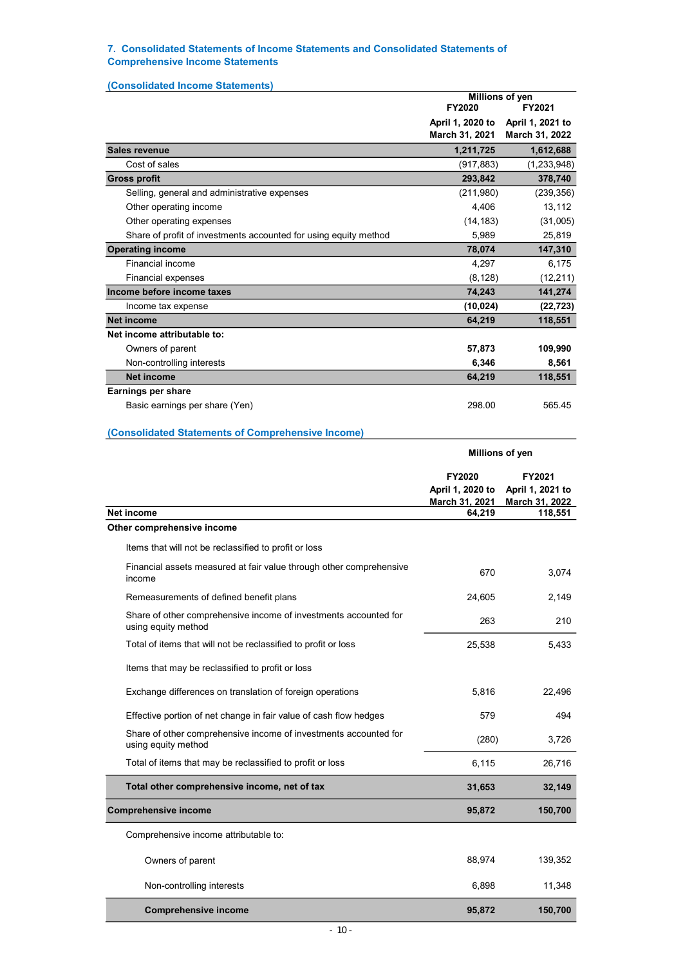#### 7. Consolidated Statements of Income Statements and Consolidated Statements of Comprehensive Income Statements

| (Consolidated Income Statements)                                 | Millions of yen                    |                                    |
|------------------------------------------------------------------|------------------------------------|------------------------------------|
|                                                                  | FY2020                             | FY2021                             |
|                                                                  | April 1, 2020 to<br>March 31, 2021 | April 1, 2021 to<br>March 31, 2022 |
| <b>Sales revenue</b>                                             | 1,211,725                          | 1,612,688                          |
| Cost of sales                                                    | (917, 883)                         | (1, 233, 948)                      |
| <b>Gross profit</b>                                              | 293,842                            | 378,740                            |
| Selling, general and administrative expenses                     | (211,980)                          | (239, 356)                         |
| Other operating income                                           | 4,406                              | 13,112                             |
| Other operating expenses                                         | (14, 183)                          | (31,005)                           |
| Share of profit of investments accounted for using equity method | 5.989                              | 25,819                             |
| <b>Operating income</b>                                          | 78,074                             | 147,310                            |
| Financial income                                                 | 4,297                              | 6,175                              |
| <b>Financial expenses</b>                                        | (8, 128)                           | (12, 211)                          |
| Income before income taxes                                       | 74,243                             | 141,274                            |
| Income tax expense                                               | (10, 024)                          | (22, 723)                          |
| <b>Net income</b>                                                | 64,219                             | 118,551                            |
| Net income attributable to:                                      |                                    |                                    |
| Owners of parent                                                 | 57,873                             | 109,990                            |
| Non-controlling interests                                        | 6,346                              | 8,561                              |
| <b>Net income</b>                                                | 64,219                             | 118,551                            |
| Earnings per share                                               |                                    |                                    |
| Basic earnings per share (Yen)                                   | 298.00                             | 565.45                             |
| (Consolidated Statements of Comprehensive Income)                |                                    |                                    |
|                                                                  | Millions of yen                    |                                    |
|                                                                  | FY2020                             | FY2021                             |
|                                                                  | April 1, 2020 to                   | April 1, 2021 to                   |
|                                                                  | March 31, 2021                     | March 31, 2022                     |
| <b>Net income</b><br>Other comprehensive income                  | 64,219                             | 118,551                            |

|                                                                               | <b>Millions of</b>                           |        |
|-------------------------------------------------------------------------------|----------------------------------------------|--------|
|                                                                               | FY2020<br>April 1, 2020 to<br>March 31, 2021 | A<br>M |
| income                                                                        | 64,219                                       |        |
| er comprehensive income                                                       |                                              |        |
| Items that will not be reclassified to profit or loss                         |                                              |        |
| Financial assets measured at fair value through other comprehensive<br>income | 670                                          |        |
| Demosauromante of defined benefit plane                                       | 0.4000                                       |        |

3,074

| income                                                                                  | 670    | 3,074   |
|-----------------------------------------------------------------------------------------|--------|---------|
| Remeasurements of defined benefit plans                                                 | 24,605 | 2,149   |
| Share of other comprehensive income of investments accounted for<br>using equity method | 263    | 210     |
| Total of items that will not be reclassified to profit or loss                          | 25,538 | 5,433   |
| Items that may be reclassified to profit or loss                                        |        |         |
| Exchange differences on translation of foreign operations                               | 5,816  | 22,496  |
| Effective portion of net change in fair value of cash flow hedges                       | 579    | 494     |
| Share of other comprehensive income of investments accounted for<br>using equity method | (280)  | 3,726   |
| Total of items that may be reclassified to profit or loss                               | 6,115  | 26,716  |
| Total other comprehensive income, net of tax                                            | 31,653 | 32,149  |
| <b>Comprehensive income</b>                                                             | 95,872 | 150,700 |
| Comprehensive income attributable to:                                                   |        |         |
| Owners of parent                                                                        | 88,974 | 139,352 |
| Non-controlling interests                                                               | 6,898  | 11,348  |
| <b>Comprehensive income</b>                                                             | 95,872 | 150,700 |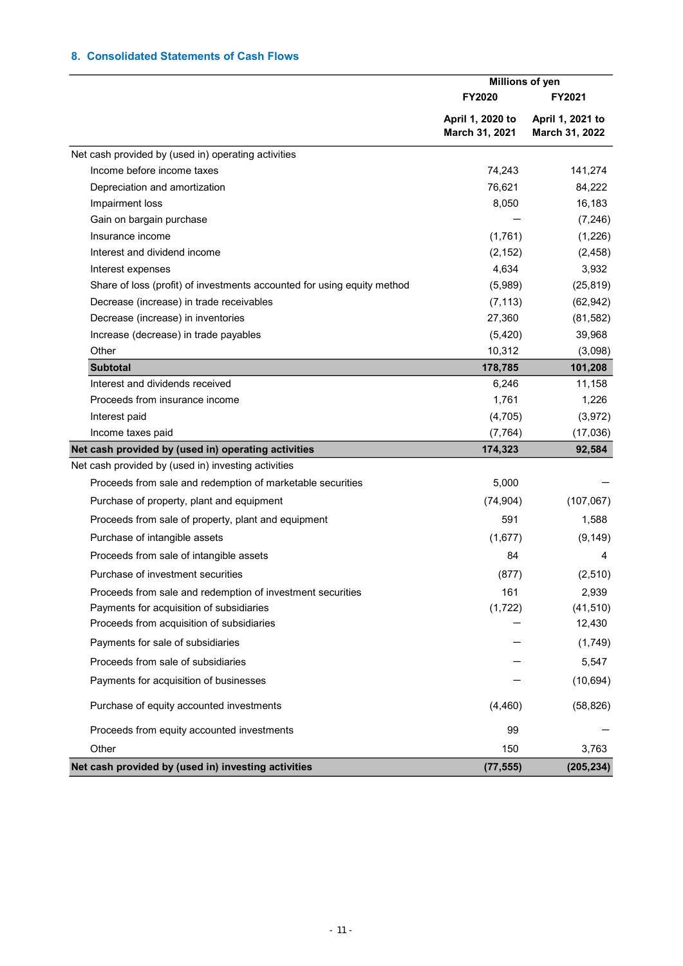### 8. Consolidated Statements of Cash Flows

|                                                                         | Millions of yen                    |                                    |  |
|-------------------------------------------------------------------------|------------------------------------|------------------------------------|--|
|                                                                         | <b>FY2020</b>                      | FY2021                             |  |
|                                                                         | April 1, 2020 to<br>March 31, 2021 | April 1, 2021 to<br>March 31, 2022 |  |
| Net cash provided by (used in) operating activities                     |                                    |                                    |  |
| Income before income taxes                                              | 74,243                             | 141,274                            |  |
| Depreciation and amortization                                           | 76,621                             | 84,222                             |  |
| Impairment loss                                                         | 8,050                              | 16,183                             |  |
| Gain on bargain purchase                                                |                                    | (7, 246)                           |  |
| Insurance income                                                        | (1,761)                            | (1,226)                            |  |
| Interest and dividend income                                            | (2, 152)                           | (2, 458)                           |  |
| Interest expenses                                                       | 4,634                              | 3,932                              |  |
| Share of loss (profit) of investments accounted for using equity method | (5,989)                            | (25, 819)                          |  |
| Decrease (increase) in trade receivables                                | (7, 113)                           | (62, 942)                          |  |
| Decrease (increase) in inventories                                      | 27,360                             | (81, 582)                          |  |
| Increase (decrease) in trade payables                                   | (5, 420)                           | 39,968                             |  |
| Other                                                                   | 10,312                             | (3,098)                            |  |
| <b>Subtotal</b>                                                         | 178,785                            | 101,208                            |  |
| Interest and dividends received                                         | 6,246                              | 11,158                             |  |
| Proceeds from insurance income                                          | 1,761                              | 1,226                              |  |
| Interest paid                                                           | (4,705)                            | (3,972)                            |  |
| Income taxes paid                                                       | (7, 764)                           | (17,036)                           |  |
| Net cash provided by (used in) operating activities                     | 174,323                            | 92,584                             |  |
| Net cash provided by (used in) investing activities                     |                                    |                                    |  |
| Proceeds from sale and redemption of marketable securities              | 5,000                              |                                    |  |
| Purchase of property, plant and equipment                               | (74, 904)                          | (107, 067)                         |  |
| Proceeds from sale of property, plant and equipment                     | 591                                | 1,588                              |  |
| Purchase of intangible assets                                           | (1,677)                            | (9, 149)                           |  |
| Proceeds from sale of intangible assets                                 | 84                                 | 4                                  |  |
| Purchase of investment securities                                       | (877)                              | (2, 510)                           |  |
| Proceeds from sale and redemption of investment securities              | 161                                | 2,939                              |  |
| Payments for acquisition of subsidiaries                                | (1, 722)                           | (41, 510)                          |  |
| Proceeds from acquisition of subsidiaries                               |                                    | 12,430                             |  |
| Payments for sale of subsidiaries                                       |                                    | (1,749)                            |  |
| Proceeds from sale of subsidiaries                                      |                                    | 5,547                              |  |
| Payments for acquisition of businesses                                  |                                    | (10, 694)                          |  |
| Purchase of equity accounted investments                                | (4, 460)                           | (58, 826)                          |  |
| Proceeds from equity accounted investments                              | 99                                 |                                    |  |
| Other                                                                   | 150                                | 3,763                              |  |
| Net cash provided by (used in) investing activities                     | (77, 555)                          | (205, 234)                         |  |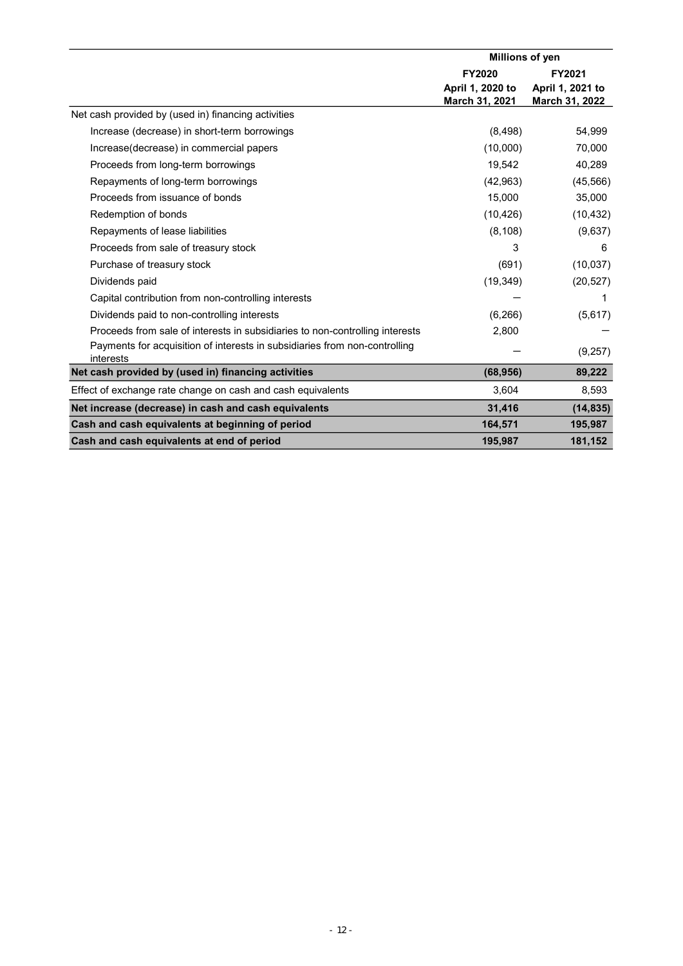|                                                                                         | Millions of yen  |                  |  |
|-----------------------------------------------------------------------------------------|------------------|------------------|--|
|                                                                                         | <b>FY2020</b>    | FY2021           |  |
|                                                                                         | April 1, 2020 to | April 1, 2021 to |  |
|                                                                                         | March 31, 2021   | March 31, 2022   |  |
| Net cash provided by (used in) financing activities                                     |                  |                  |  |
| Increase (decrease) in short-term borrowings                                            | (8, 498)         | 54,999           |  |
| Increase(decrease) in commercial papers                                                 | (10,000)         | 70,000           |  |
| Proceeds from long-term borrowings                                                      | 19,542           | 40,289           |  |
| Repayments of long-term borrowings                                                      | (42, 963)        | (45, 566)        |  |
| Proceeds from issuance of bonds                                                         | 15,000           | 35,000           |  |
| Redemption of bonds                                                                     | (10, 426)        | (10, 432)        |  |
| Repayments of lease liabilities                                                         | (8, 108)         | (9,637)          |  |
| Proceeds from sale of treasury stock                                                    | 3                | 6                |  |
| Purchase of treasury stock                                                              | (691)            | (10,037)         |  |
| Dividends paid                                                                          | (19, 349)        | (20, 527)        |  |
| Capital contribution from non-controlling interests                                     |                  | 1                |  |
| Dividends paid to non-controlling interests                                             | (6, 266)         | (5,617)          |  |
| Proceeds from sale of interests in subsidiaries to non-controlling interests            | 2,800            |                  |  |
| Payments for acquisition of interests in subsidiaries from non-controlling<br>interests |                  | (9,257)          |  |
| Net cash provided by (used in) financing activities                                     | (68, 956)        | 89,222           |  |
| Effect of exchange rate change on cash and cash equivalents                             | 3,604            | 8,593            |  |
| Net increase (decrease) in cash and cash equivalents                                    | 31,416           | (14, 835)        |  |
| Cash and cash equivalents at beginning of period                                        | 164,571          | 195,987          |  |
| Cash and cash equivalents at end of period                                              | 195,987          | 181,152          |  |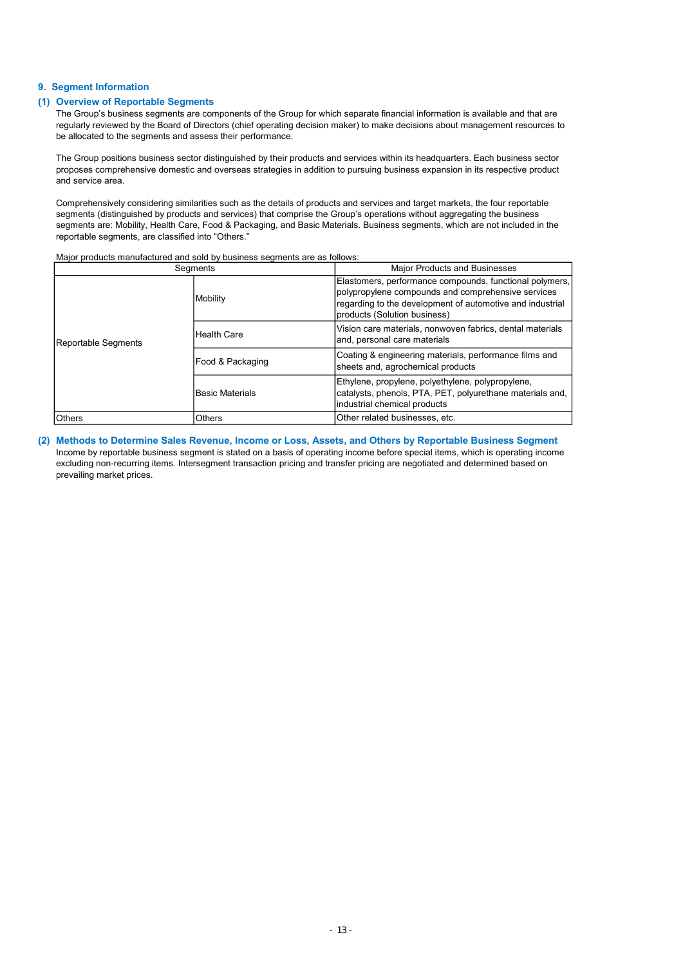#### 9. Segment Information

#### (1) Overview of Reportable Segments

The Group's business segments are components of the Group for which separate financial information is available and that are regularly reviewed by the Board of Directors (chief operating decision maker) to make decisions about management resources to be allocated to the segments and assess their performance.

The Group positions business sector distinguished by their products and services within its headquarters. Each business sector proposes comprehensive domestic and overseas strategies in addition to pursuing business expansion in its respective product and service area.

Comprehensively considering similarities such as the details of products and services and target markets, the four reportable segments (distinguished by products and services) that comprise the Group's operations without aggregating the business segments are: Mobility, Health Care, Food & Packaging, and Basic Materials. Business segments, which are not included in the reportable segments, are classified into "Others."

Major products manufactured and sold by business segments are as follows:

|                     | Segments           | <b>Major Products and Businesses</b>                                                                                                                                                                       |
|---------------------|--------------------|------------------------------------------------------------------------------------------------------------------------------------------------------------------------------------------------------------|
| Reportable Segments | Mobility           | Elastomers, performance compounds, functional polymers,<br>polypropylene compounds and comprehensive services<br>regarding to the development of automotive and industrial<br>products (Solution business) |
|                     | <b>Health Care</b> | Vision care materials, nonwoven fabrics, dental materials<br>and, personal care materials                                                                                                                  |
|                     | Food & Packaging   | Coating & engineering materials, performance films and<br>sheets and, agrochemical products                                                                                                                |
|                     | Basic Materials    | Ethylene, propylene, polyethylene, polypropylene,<br>catalysts, phenols, PTA, PET, polyurethane materials and,<br>industrial chemical products                                                             |
| <b>Others</b>       | Others             | Other related businesses, etc.                                                                                                                                                                             |

(2) Methods to Determine Sales Revenue, Income or Loss, Assets, and Others by Reportable Business Segment Income by reportable business segment is stated on a basis of operating income before special items, which is operating income excluding non-recurring items. Intersegment transaction pricing and transfer pricing are negotiated and determined based on prevailing market prices.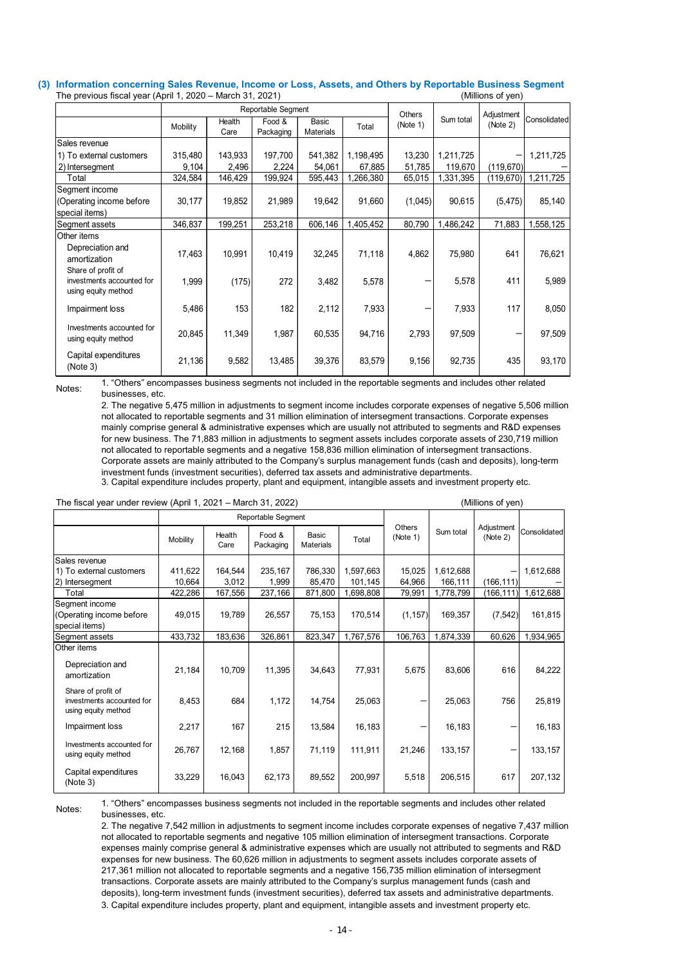#### (3) Information concerning Sales Revenue, Income or Loss, Assets, and Others by Reportable Business Segment<br>The previous fiscal vear (April 1, 2020 – March 31, 2021) The previous fiscal year (April 1, 2020 – March 31, 2021)

| Information concerning Sales Revenue, Income or Loss, Assets, and Others by Reportable Business Segment |                  |          |                |                    |                           |           |          |                  |                                                                                                                      |                       |
|---------------------------------------------------------------------------------------------------------|------------------|----------|----------------|--------------------|---------------------------|-----------|----------|------------------|----------------------------------------------------------------------------------------------------------------------|-----------------------|
| The previous fiscal year (April 1, 2020 - March 31, 2021)                                               |                  |          |                |                    |                           |           |          |                  | (Millions of yen)                                                                                                    |                       |
|                                                                                                         |                  |          |                | Reportable Segment |                           |           | Others   |                  | Adjustment                                                                                                           |                       |
|                                                                                                         |                  | Mobility | Health<br>Care | Food &             | Basic<br><b>Materials</b> | Total     | (Note 1) | Sum total        | (Note 2)                                                                                                             | Consolidated          |
| Sales revenue                                                                                           |                  |          |                | Packaging          |                           |           |          |                  |                                                                                                                      |                       |
| 1) To external customers                                                                                |                  | 315,480  | 143,933        | 197,700            | 541,382                   | 1,198,495 | 13,230   | 1,211,725        |                                                                                                                      | 1,211,725             |
| 2) Intersegment                                                                                         |                  | 9,104    | 2,496          | 2,224              | 54,061                    | 67,885    | 51,785   | 119,670          | (119, 670)                                                                                                           |                       |
| Total                                                                                                   |                  | 324,584  | 146,429        | 199,924            | 595,443                   | 1,266,380 |          | 65,015 1,331,395 |                                                                                                                      | $(119,670)$ 1,211,725 |
| Segment income                                                                                          |                  |          |                |                    |                           |           |          |                  |                                                                                                                      |                       |
| (Operating income before                                                                                |                  | 30,177   | 19,852         | 21,989             | 19,642                    | 91,660    | (1,045)  | 90,615           | (5, 475)                                                                                                             | 85,140                |
| special items)                                                                                          |                  |          |                |                    |                           |           |          |                  |                                                                                                                      |                       |
| Segment assets                                                                                          |                  | 346,837  | 199,251        | 253,218            | 606,146                   | 1,405,452 | 80,790   | 1,486,242        | 71,883                                                                                                               | 1,558,125             |
| Other items<br>Depreciation and                                                                         |                  |          |                |                    |                           |           |          |                  |                                                                                                                      |                       |
| amortization                                                                                            |                  | 17,463   | 10,991         | 10,419             | 32,245                    | 71,118    | 4,862    | 75,980           | 641                                                                                                                  | 76,621                |
| Share of profit of                                                                                      |                  |          |                |                    |                           |           |          |                  |                                                                                                                      |                       |
| investments accounted for                                                                               |                  | 1,999    | (175)          | 272                | 3,482                     | 5,578     |          | 5,578            | 411                                                                                                                  | 5,989                 |
| using equity method                                                                                     |                  |          |                |                    |                           |           |          |                  |                                                                                                                      |                       |
| Impairment loss                                                                                         |                  | 5,486    | 153            | 182                | 2,112                     | 7,933     |          | 7.933            | 117                                                                                                                  | 8,050                 |
| Investments accounted for                                                                               |                  |          |                |                    |                           |           |          |                  |                                                                                                                      |                       |
| using equity method                                                                                     |                  | 20,845   | 11,349         | 1,987              | 60,535                    | 94,716    | 2,793    | 97,509           | $\overline{\phantom{0}}$                                                                                             | 97,509                |
| Capital expenditures                                                                                    |                  |          |                |                    |                           |           |          |                  |                                                                                                                      |                       |
| (Note 3)                                                                                                |                  | 21,136   | 9,582          | 13,485             | 39,376                    | 83,579    | 9,156    | 92,735           | 435                                                                                                                  | 93,170                |
|                                                                                                         |                  |          |                |                    |                           |           |          |                  | 1. "Others" encompasses business segments not included in the reportable segments and includes other related         |                       |
| Notes:                                                                                                  | businesses, etc. |          |                |                    |                           |           |          |                  |                                                                                                                      |                       |
|                                                                                                         |                  |          |                |                    |                           |           |          |                  | 2. The negative 5,475 million in adjustments to segment income includes corporate expenses of negative 5,506 million |                       |
|                                                                                                         |                  |          |                |                    |                           |           |          |                  | not allocated to reportable segments and 31 million elimination of intersegment transactions. Corporate expenses     |                       |
|                                                                                                         |                  |          |                |                    |                           |           |          |                  | mainly comprise general & administrative expenses which are usually not attributed to segments and R&D expenses      |                       |

| Share of profit of<br>investments accounted for<br>using equity method |                  | 1,999                                                                                                                                                                                                                                                                                                                                                                                                                                                                                                                                                                                                                                                                                                                                                                                                                                                                                                                                                                                                                                                   | (175)            | 272                 | 3,482                     | 5,578                |                          | 5,578                | 411               | 5,989                  |
|------------------------------------------------------------------------|------------------|---------------------------------------------------------------------------------------------------------------------------------------------------------------------------------------------------------------------------------------------------------------------------------------------------------------------------------------------------------------------------------------------------------------------------------------------------------------------------------------------------------------------------------------------------------------------------------------------------------------------------------------------------------------------------------------------------------------------------------------------------------------------------------------------------------------------------------------------------------------------------------------------------------------------------------------------------------------------------------------------------------------------------------------------------------|------------------|---------------------|---------------------------|----------------------|--------------------------|----------------------|-------------------|------------------------|
| Impairment loss                                                        |                  | 5,486                                                                                                                                                                                                                                                                                                                                                                                                                                                                                                                                                                                                                                                                                                                                                                                                                                                                                                                                                                                                                                                   | 153              | 182                 | 2,112                     | 7,933                | $\overline{\phantom{0}}$ | 7,933                | 117               | 8,050                  |
| Investments accounted for<br>using equity method                       |                  | 20,845                                                                                                                                                                                                                                                                                                                                                                                                                                                                                                                                                                                                                                                                                                                                                                                                                                                                                                                                                                                                                                                  | 11,349           | 1,987               | 60,535                    | 94,716               | 2.793                    | 97.509               |                   | 97,509                 |
| Capital expenditures<br>(Note 3)                                       |                  | 21,136                                                                                                                                                                                                                                                                                                                                                                                                                                                                                                                                                                                                                                                                                                                                                                                                                                                                                                                                                                                                                                                  | 9,582            | 13,485              | 39,376                    | 83,579               | 9.156                    | 92.735               | 435               | 93.170                 |
| Notes:                                                                 | businesses, etc. | 1. "Others" encompasses business segments not included in the reportable segments and includes other related<br>2. The negative 5,475 million in adjustments to segment income includes corporate expenses of negative 5,506 million<br>not allocated to reportable segments and 31 million elimination of intersegment transactions. Corporate expenses<br>mainly comprise general & administrative expenses which are usually not attributed to segments and R&D expenses<br>for new business. The 71,883 million in adjustments to segment assets includes corporate assets of 230,719 million<br>not allocated to reportable segments and a negative 158,836 million elimination of intersegment transactions.<br>Corporate assets are mainly attributed to the Company's surplus management funds (cash and deposits), long-term<br>investment funds (investment securities), deferred tax assets and administrative departments.<br>3. Capital expenditure includes property, plant and equipment, intangible assets and investment property etc. |                  |                     |                           |                      |                          |                      |                   |                        |
| The fiscal year under review (April 1, 2021 - March 31, 2022)          |                  |                                                                                                                                                                                                                                                                                                                                                                                                                                                                                                                                                                                                                                                                                                                                                                                                                                                                                                                                                                                                                                                         |                  |                     |                           |                      |                          |                      | (Millions of yen) |                        |
|                                                                        |                  |                                                                                                                                                                                                                                                                                                                                                                                                                                                                                                                                                                                                                                                                                                                                                                                                                                                                                                                                                                                                                                                         |                  | Reportable Segment  |                           |                      | Others                   |                      | Adjustment        |                        |
|                                                                        |                  | Mobility                                                                                                                                                                                                                                                                                                                                                                                                                                                                                                                                                                                                                                                                                                                                                                                                                                                                                                                                                                                                                                                | Health<br>Care   | Food &<br>Packaging | Basic<br><b>Materials</b> | Total                | (Note 1)                 | Sum total            | (Note 2)          | Consolidated           |
| Sales revenue                                                          |                  |                                                                                                                                                                                                                                                                                                                                                                                                                                                                                                                                                                                                                                                                                                                                                                                                                                                                                                                                                                                                                                                         |                  |                     |                           |                      |                          |                      |                   |                        |
| 1) To external customers<br>2) Intersegment                            |                  | 411,622<br>10,664                                                                                                                                                                                                                                                                                                                                                                                                                                                                                                                                                                                                                                                                                                                                                                                                                                                                                                                                                                                                                                       | 164,544<br>3,012 | 235,167<br>1,999    | 786,330<br>85,470         | 1,597,663<br>101,145 | 15,025<br>64,966         | 1,612,688<br>166,111 | (166, 111)        | 1,612,688              |
| Total                                                                  |                  | 422,286                                                                                                                                                                                                                                                                                                                                                                                                                                                                                                                                                                                                                                                                                                                                                                                                                                                                                                                                                                                                                                                 | 167,556          | 237,166             | 871,800                   | 1,698,808            | 79,991                   | 1,778,799            |                   | $(166, 111)$ 1,612,688 |
| Segment income<br>(Operating income before<br>special items)           |                  | 49,015                                                                                                                                                                                                                                                                                                                                                                                                                                                                                                                                                                                                                                                                                                                                                                                                                                                                                                                                                                                                                                                  | 19,789           | 26,557              | 75,153                    | 170,514              | (1, 157)                 | 169,357              | (7, 542)          | 161,815                |
| Segment assets                                                         |                  | 433,732                                                                                                                                                                                                                                                                                                                                                                                                                                                                                                                                                                                                                                                                                                                                                                                                                                                                                                                                                                                                                                                 | 183,636          | 326,861             | 823,347                   | 1,767,576            |                          | 106,763 1,874,339    | 60,626            | 1,934,965              |
| Other items<br>Depreciation and<br>amortization                        |                  | 21,184                                                                                                                                                                                                                                                                                                                                                                                                                                                                                                                                                                                                                                                                                                                                                                                                                                                                                                                                                                                                                                                  | 10,709           | 11,395              | 34,643                    | 77,931               | 5,675                    | 83,606               | 616               | 84,222                 |
| Share of profit of<br>investments accounted for<br>using equity method |                  | 8,453                                                                                                                                                                                                                                                                                                                                                                                                                                                                                                                                                                                                                                                                                                                                                                                                                                                                                                                                                                                                                                                   | 684              | 1,172               | 14,754                    | 25,063               |                          | 25,063               | 756               | 25,819                 |
| Impairment loss                                                        |                  | 2,217                                                                                                                                                                                                                                                                                                                                                                                                                                                                                                                                                                                                                                                                                                                                                                                                                                                                                                                                                                                                                                                   | 167              | 215                 | 13,584                    | 16,183               |                          | 16,183               |                   | 16,183                 |
| Investments accounted for<br>using equity method                       |                  | 26,767                                                                                                                                                                                                                                                                                                                                                                                                                                                                                                                                                                                                                                                                                                                                                                                                                                                                                                                                                                                                                                                  | 12,168           | 1,857               | 71,119                    | 111,911              | 21,246                   | 133,157              |                   | 133,157                |
| Capital expenditures<br>(Note 3)                                       |                  | 33,229                                                                                                                                                                                                                                                                                                                                                                                                                                                                                                                                                                                                                                                                                                                                                                                                                                                                                                                                                                                                                                                  | 16,043           | 62,173              | 89,552                    | 200,997              | 5,518                    | 206,515              | 617               | 207,132                |
| Notes:                                                                 | businesses, etc. | 1. "Others" encompasses business segments not included in the reportable segments and includes other related<br>2. The negative 7,542 million in adjustments to segment income includes corporate expenses of negative 7,437 million<br>not allocated to reportable segments and negative 105 million elimination of intersegment transactions. Corporate<br>expenses mainly comprise general & administrative expenses which are usually not attributed to segments and R&D                                                                                                                                                                                                                                                                                                                                                                                                                                                                                                                                                                            |                  |                     |                           |                      |                          |                      |                   |                        |

2. The negative 7,542 million in adjustments to segment income includes corporate expenses of negative 7,437 million not allocated to reportable segments and negative 105 million elimination of intersegment transactions. Corporate expenses mainly comprise general & administrative expenses which are usually not attributed to segments and R&D expenses for new business. The 60,626 million in adjustments to segment assets includes corporate assets of 217,361 million not allocated to reportable segments and a negative 156,735 million elimination of intersegment transactions. Corporate assets are mainly attributed to the Company's surplus management funds (cash and deposits), long-term investment funds (investment securities), deferred tax assets and administrative departments. 3. Capital expenditure includes property, plant and equipment, intangible assets and investment property etc.